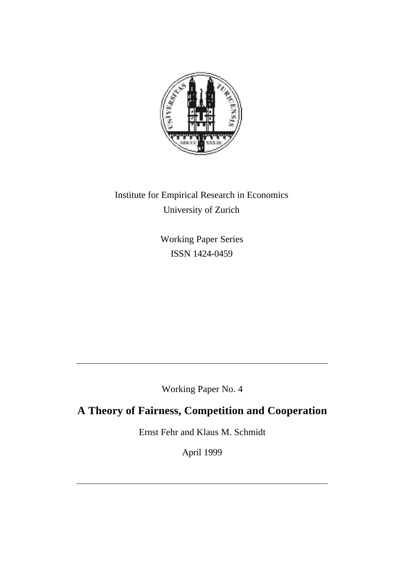

Institute for Empirical Research in Economics University of Zurich

> Working Paper Series ISSN 1424-0459

Working Paper No. 4

# **A Theory of Fairness, Competition and Cooperation**

Ernst Fehr and Klaus M. Schmidt

April 1999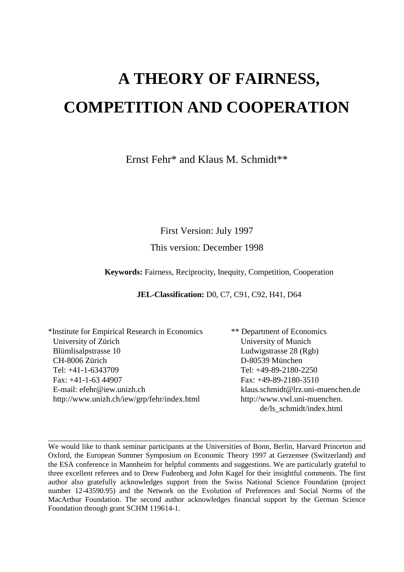# **A THEORY OF FAIRNESS, COMPETITION AND COOPERATION**

Ernst Fehr\* and Klaus M. Schmidt\*\*

First Version: July 1997

This version: December 1998

**Keywords:** Fairness, Reciprocity, Inequity, Competition, Cooperation

**JEL-Classification:** D0, C7, C91, C92, H41, D64

\*Institute for Empirical Research in Economics \*\* Department of Economics University of Zürich University of Munich Blümlisalpstrasse 10 Ludwigstrasse 28 (Rgb) CH-8006 Zürich D-80539 München Tel: +41-1-6343709 Tel: +49-89-2180-2250 Fax: +41-1-63 44907 Fax: +49-89-2180-3510 E-mail: efehr@iew.unizh.ch klaus.schmidt@lrz.uni-muenchen.de http://www.unizh.ch/iew/grp/fehr/index.html http://www.vwl.uni-muenchen.

de/ls\_schmidt/index.html

We would like to thank seminar participants at the Universities of Bonn, Berlin, Harvard Princeton and Oxford, the European Summer Symposium on Economic Theory 1997 at Gerzensee (Switzerland) and the ESA conference in Mannheim for helpful comments and suggestions. We are particularly grateful to three excellent referees and to Drew Fudenberg and John Kagel for their insightful comments. The first author also gratefully acknowledges support from the Swiss National Science Foundation (project number 12-43590.95) and the Network on the Evolution of Preferences and Social Norms of the MacArthur Foundation. The second author acknowledges financial support by the German Science Foundation through grant SCHM 119614-1.

\_\_\_\_\_\_\_\_\_\_\_\_\_\_\_\_\_\_\_\_\_\_\_\_\_\_\_\_\_\_\_\_\_\_\_\_\_\_\_\_\_\_\_\_\_\_\_\_\_\_\_\_\_\_\_\_\_\_\_\_\_\_\_\_\_\_\_\_\_\_\_\_\_\_\_\_\_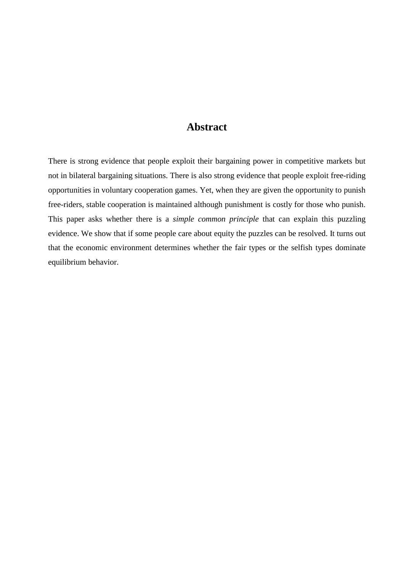## **Abstract**

There is strong evidence that people exploit their bargaining power in competitive markets but not in bilateral bargaining situations. There is also strong evidence that people exploit free-riding opportunities in voluntary cooperation games. Yet, when they are given the opportunity to punish free-riders, stable cooperation is maintained although punishment is costly for those who punish. This paper asks whether there is a *simple common principle* that can explain this puzzling evidence. We show that if some people care about equity the puzzles can be resolved. It turns out that the economic environment determines whether the fair types or the selfish types dominate equilibrium behavior.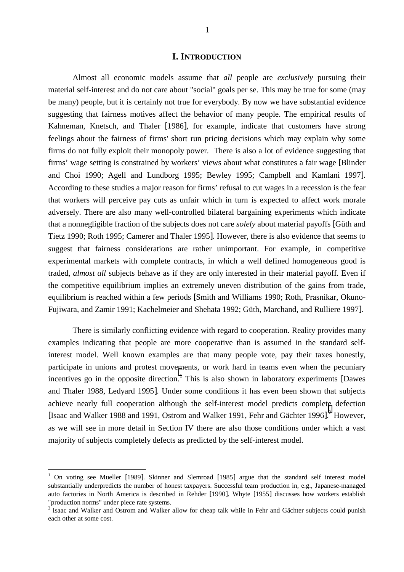#### **I. INTRODUCTION**

Almost all economic models assume that *all* people are *exclusively* pursuing their material self-interest and do not care about "social" goals per se. This may be true for some (may be many) people, but it is certainly not true for everybody. By now we have substantial evidence suggesting that fairness motives affect the behavior of many people. The empirical results of Kahneman, Knetsch, and Thaler [1986], for example, indicate that customers have strong feelings about the fairness of firms' short run pricing decisions which may explain why some firms do not fully exploit their monopoly power. There is also a lot of evidence suggesting that firms' wage setting is constrained by workers' views about what constitutes a fair wage [Blinder and Choi 1990; Agell and Lundborg 1995; Bewley 1995; Campbell and Kamlani 1997]. According to these studies a major reason for firms' refusal to cut wages in a recession is the fear that workers will perceive pay cuts as unfair which in turn is expected to affect work morale adversely. There are also many well-controlled bilateral bargaining experiments which indicate that a nonnegligible fraction of the subjects does not care *solely* about material payoffs [Güth and Tietz 1990; Roth 1995; Camerer and Thaler 1995]. However, there is also evidence that seems to suggest that fairness considerations are rather unimportant. For example, in competitive experimental markets with complete contracts, in which a well defined homogeneous good is traded, *almost all* subjects behave as if they are only interested in their material payoff. Even if the competitive equilibrium implies an extremely uneven distribution of the gains from trade, equilibrium is reached within a few periods [Smith and Williams 1990; Roth, Prasnikar, Okuno-Fujiwara, and Zamir 1991; Kachelmeier and Shehata 1992; Güth, Marchand, and Rulliere 1997].

There is similarly conflicting evidence with regard to cooperation. Reality provides many examples indicating that people are more cooperative than is assumed in the standard selfinterest model. Well known examples are that many people vote, pay their taxes honestly, participate in unions and protest movements, or work hard in teams even when the pecuniary incentives go in the opposite direction.<sup>1</sup> This is also shown in laboratory experiments [Dawes and Thaler 1988, Ledyard 1995]. Under some conditions it has even been shown that subjects achieve nearly full cooperation although the self-interest model predicts complete defection [Isaac and Walker 1988 and 1991, Ostrom and Walker 1991, Fehr and Gächter 1996].<sup>2</sup> However, as we will see in more detail in Section IV there are also those conditions under which a vast majority of subjects completely defects as predicted by the self-interest model.

<sup>&</sup>lt;sup>1</sup> On voting see Mueller [1989]. Skinner and Slemroad [1985] argue that the standard self interest model substantially underpredicts the number of honest taxpayers. Successful team production in, e.g., Japanese-managed auto factories in North America is described in Rehder [1990]. Whyte [1955] discusses how workers establish "production norms" under piece rate systems.

<sup>&</sup>lt;sup>2</sup> Isaac and Walker and Ostrom and Walker allow for cheap talk while in Fehr and Gächter subjects could punish each other at some cost.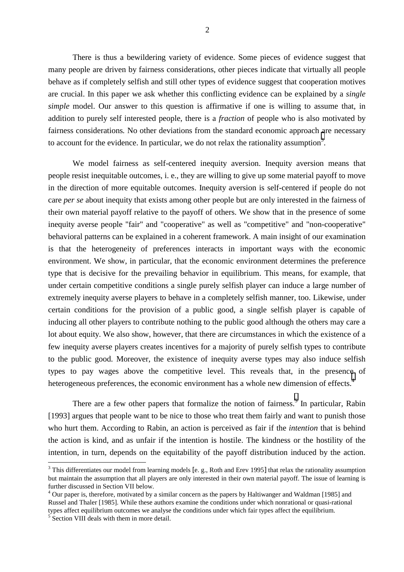There is thus a bewildering variety of evidence. Some pieces of evidence suggest that many people are driven by fairness considerations, other pieces indicate that virtually all people behave as if completely selfish and still other types of evidence suggest that cooperation motives are crucial. In this paper we ask whether this conflicting evidence can be explained by a *single simple* model. Our answer to this question is affirmative if one is willing to assume that, in addition to purely self interested people, there is a *fraction* of people who is also motivated by fairness considerations*.* No other deviations from the standard economic approach are necessary to account for the evidence. In particular, we do not relax the rationality assumption<sup>3</sup>.

We model fairness as self-centered inequity aversion. Inequity aversion means that people resist inequitable outcomes, i. e., they are willing to give up some material payoff to move in the direction of more equitable outcomes. Inequity aversion is self-centered if people do not care *per se* about inequity that exists among other people but are only interested in the fairness of their own material payoff relative to the payoff of others. We show that in the presence of some inequity averse people "fair" and "cooperative" as well as "competitive" and "non-cooperative" behavioral patterns can be explained in a coherent framework. A main insight of our examination is that the heterogeneity of preferences interacts in important ways with the economic environment. We show, in particular, that the economic environment determines the preference type that is decisive for the prevailing behavior in equilibrium. This means, for example, that under certain competitive conditions a single purely selfish player can induce a large number of extremely inequity averse players to behave in a completely selfish manner, too. Likewise, under certain conditions for the provision of a public good, a single selfish player is capable of inducing all other players to contribute nothing to the public good although the others may care a lot about equity. We also show, however, that there are circumstances in which the existence of a few inequity averse players creates incentives for a majority of purely selfish types to contribute to the public good. Moreover, the existence of inequity averse types may also induce selfish types to pay wages above the competitive level. This reveals that, in the presence of heterogeneous preferences, the economic environment has a whole new dimension of effects.<sup>4</sup>

There are a few other papers that formalize the notion of fairness.<sup>5</sup> In particular, Rabin [1993] argues that people want to be nice to those who treat them fairly and want to punish those who hurt them. According to Rabin, an action is perceived as fair if the *intention* that is behind the action is kind, and as unfair if the intention is hostile. The kindness or the hostility of the intention, in turn, depends on the equitability of the payoff distribution induced by the action.

l

 $3$  This differentiates our model from learning models [e. g., Roth and Erev 1995] that relax the rationality assumption but maintain the assumption that all players are only interested in their own material payoff. The issue of learning is further discussed in Section VII below.

<sup>&</sup>lt;sup>4</sup> Our paper is, therefore, motivated by a similar concern as the papers by Haltiwanger and Waldman [1985] and Russel and Thaler [1985]. While these authors examine the conditions under which nonrational or quasi-rational types affect equilibrium outcomes we analyse the conditions under which fair types affect the equilibrium.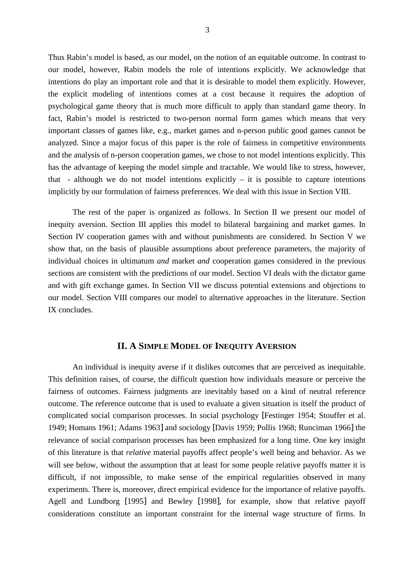Thus Rabin's model is based, as our model, on the notion of an equitable outcome. In contrast to our model, however, Rabin models the role of intentions explicitly. We acknowledge that intentions do play an important role and that it is desirable to model them explicitly. However, the explicit modeling of intentions comes at a cost because it requires the adoption of psychological game theory that is much more difficult to apply than standard game theory. In fact, Rabin's model is restricted to two-person normal form games which means that very important classes of games like, e.g., market games and n-person public good games cannot be analyzed. Since a major focus of this paper is the role of fairness in competitive environments and the analysis of n-person cooperation games, we chose to not model intentions explicitly. This has the advantage of keeping the model simple and tractable. We would like to stress, however, that - although we do not model intentions explicitly  $-$  it is possible to capture intentions implicitly by our formulation of fairness preferences. We deal with this issue in Section VIII.

The rest of the paper is organized as follows. In Section II we present our model of inequity aversion. Section III applies this model to bilateral bargaining and market games. In Section IV cooperation games with and without punishments are considered. In Section V we show that, on the basis of plausible assumptions about preference parameters, the majority of individual choices in ultimatum *and* market *and* cooperation games considered in the previous sections are consistent with the predictions of our model. Section VI deals with the dictator game and with gift exchange games. In Section VII we discuss potential extensions and objections to our model. Section VIII compares our model to alternative approaches in the literature. Section IX concludes.

#### **II. A SIMPLE MODEL OF INEQUITY AVERSION**

An individual is inequity averse if it dislikes outcomes that are perceived as inequitable. This definition raises, of course, the difficult question how individuals measure or perceive the fairness of outcomes. Fairness judgments are inevitably based on a kind of neutral reference outcome. The reference outcome that is used to evaluate a given situation is itself the product of complicated social comparison processes. In social psychology [Festinger 1954; Stouffer et al. 1949; Homans 1961; Adams 1963] and sociology [Davis 1959; Pollis 1968; Runciman 1966] the relevance of social comparison processes has been emphasized for a long time. One key insight of this literature is that *relative* material payoffs affect people's well being and behavior. As we will see below, without the assumption that at least for some people relative payoffs matter it is difficult, if not impossible, to make sense of the empirical regularities observed in many experiments. There is, moreover, direct empirical evidence for the importance of relative payoffs. Agell and Lundborg [1995] and Bewley [1998], for example, show that relative payoff considerations constitute an important constraint for the internal wage structure of firms. In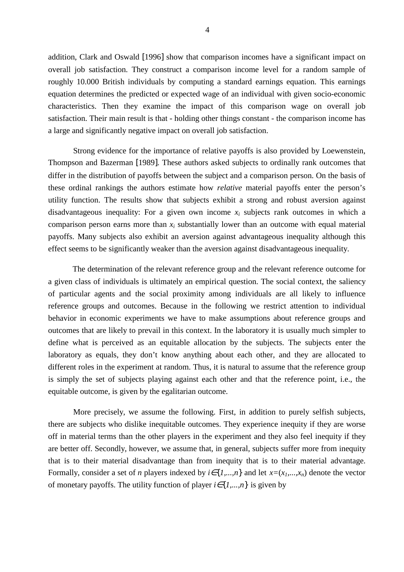addition, Clark and Oswald [1996] show that comparison incomes have a significant impact on overall job satisfaction. They construct a comparison income level for a random sample of roughly 10.000 British individuals by computing a standard earnings equation. This earnings equation determines the predicted or expected wage of an individual with given socio-economic characteristics. Then they examine the impact of this comparison wage on overall job satisfaction. Their main result is that - holding other things constant - the comparison income has a large and significantly negative impact on overall job satisfaction.

Strong evidence for the importance of relative payoffs is also provided by Loewenstein, Thompson and Bazerman [1989]. These authors asked subjects to ordinally rank outcomes that differ in the distribution of payoffs between the subject and a comparison person. On the basis of these ordinal rankings the authors estimate how *relative* material payoffs enter the person's utility function. The results show that subjects exhibit a strong and robust aversion against disadvantageous inequality: For a given own income  $x_i$  subjects rank outcomes in which a comparison person earns more than *xi* substantially lower than an outcome with equal material payoffs. Many subjects also exhibit an aversion against advantageous inequality although this effect seems to be significantly weaker than the aversion against disadvantageous inequality.

The determination of the relevant reference group and the relevant reference outcome for a given class of individuals is ultimately an empirical question. The social context, the saliency of particular agents and the social proximity among individuals are all likely to influence reference groups and outcomes. Because in the following we restrict attention to individual behavior in economic experiments we have to make assumptions about reference groups and outcomes that are likely to prevail in this context. In the laboratory it is usually much simpler to define what is perceived as an equitable allocation by the subjects. The subjects enter the laboratory as equals, they don't know anything about each other, and they are allocated to different roles in the experiment at random. Thus, it is natural to assume that the reference group is simply the set of subjects playing against each other and that the reference point, i.e., the equitable outcome, is given by the egalitarian outcome.

More precisely, we assume the following. First, in addition to purely selfish subjects, there are subjects who dislike inequitable outcomes. They experience inequity if they are worse off in material terms than the other players in the experiment and they also feel inequity if they are better off. Secondly, however, we assume that, in general, subjects suffer more from inequity that is to their material disadvantage than from inequity that is to their material advantage. Formally, consider a set of *n* players indexed by  $i \in \{1,...,n\}$  and let  $x=(x_1,...,x_n)$  denote the vector of monetary payoffs. The utility function of player *i*∈{*1,...,n*} is given by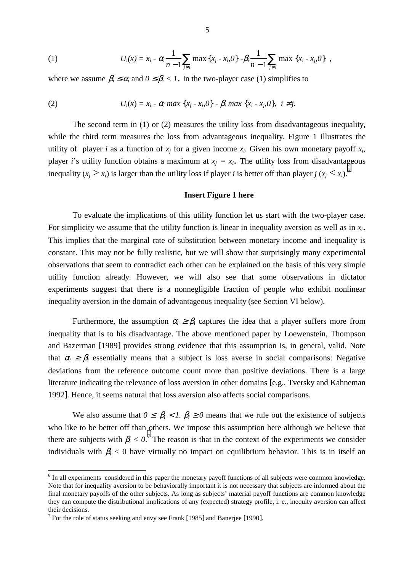(1) 
$$
U_i(x) = x_i - \alpha_i \frac{1}{n-1} \sum_{j \neq i} \max \{x_j - x_i, 0\} - \beta_i \frac{1}{n-1} \sum_{j \neq i} \max \{x_i - x_j, 0\} ,
$$

where we assume  $\beta_i \leq \alpha_i$  and  $0 \leq \beta_i < 1$ . In the two-player case (1) simplifies to

(2) 
$$
U_i(x) = x_i - \alpha_i \max \{x_j - x_i, 0\} - \beta_i \max \{x_i - x_j, 0\}, \quad i \neq j.
$$

The second term in (1) or (2) measures the utility loss from disadvantageous inequality, while the third term measures the loss from advantageous inequality. Figure 1 illustrates the utility of player *i* as a function of  $x_i$  for a given income  $x_i$ . Given his own monetary payoff  $x_i$ , player *i*'s utility function obtains a maximum at  $x_i = x_i$ . The utility loss from disadvantageous inequality  $(x_j > x_i)$  is larger than the utility loss if player *i* is better off than player *j*  $(x_i < x_i)$ .<sup>6</sup>

#### **Insert Figure 1 here**

To evaluate the implications of this utility function let us start with the two-player case. For simplicity we assume that the utility function is linear in inequality aversion as well as in  $x_i$ . This implies that the marginal rate of substitution between monetary income and inequality is constant. This may not be fully realistic, but we will show that surprisingly many experimental observations that seem to contradict each other can be explained on the basis of this very simple utility function already. However, we will also see that some observations in dictator experiments suggest that there is a nonnegligible fraction of people who exhibit nonlinear inequality aversion in the domain of advantageous inequality (see Section VI below).

Furthermore, the assumption  $\alpha_i \geq \beta_i$  captures the idea that a player suffers more from inequality that is to his disadvantage. The above mentioned paper by Loewenstein, Thompson and Bazerman [1989] provides strong evidence that this assumption is, in general, valid. Note that  $\alpha_i \geq \beta_i$  essentially means that a subject is loss averse in social comparisons: Negative deviations from the reference outcome count more than positive deviations. There is a large literature indicating the relevance of loss aversion in other domains [e.g., Tversky and Kahneman 1992]. Hence, it seems natural that loss aversion also affects social comparisons.

We also assume that  $0 \le \beta_i < 1$ .  $\beta_i \ge 0$  means that we rule out the existence of subjects who like to be better off than others. We impose this assumption here although we believe that there are subjects with  $\beta_i < 0$ .<sup>7</sup> The reason is that in the context of the experiments we consider individuals with  $\beta_i$  < 0 have virtually no impact on equilibrium behavior. This is in itself an

<sup>&</sup>lt;sup>6</sup> In all experiments considered in this paper the monetary payoff functions of all subjects were common knowledge. Note that for inequality aversion to be behaviorally important it is not necessary that subjects are informed about the final monetary payoffs of the other subjects. As long as subjects' material payoff functions are common knowledge they can compute the distributional implications of any (expected) strategy profile, i. e., inequity aversion can affect their decisions.

<sup>&</sup>lt;sup>7</sup> For the role of status seeking and envy see Frank [1985] and Banerjee [1990].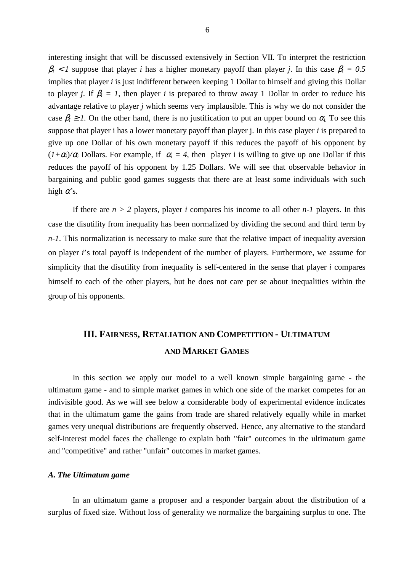interesting insight that will be discussed extensively in Section VII. To interpret the restriction  $\beta_i$  < *1* suppose that player *i* has a higher monetary payoff than player *j*. In this case  $\beta_i = 0.5$ implies that player *i* is just indifferent between keeping 1 Dollar to himself and giving this Dollar to player *j*. If  $\beta_i = 1$ , then player *i* is prepared to throw away 1 Dollar in order to reduce his advantage relative to player *j* which seems very implausible. This is why we do not consider the case  $\beta_i \geq 1$ . On the other hand, there is no justification to put an upper bound on  $\alpha_i$ . To see this suppose that player i has a lower monetary payoff than player j. In this case player *i* is prepared to give up one Dollar of his own monetary payoff if this reduces the payoff of his opponent by  $(1+\alpha_i)/\alpha_i$  Dollars. For example, if  $\alpha_i = 4$ , then player i is willing to give up one Dollar if this reduces the payoff of his opponent by 1.25 Dollars. We will see that observable behavior in bargaining and public good games suggests that there are at least some individuals with such high  $\alpha$ 's.

If there are  $n > 2$  players, player *i* compares his income to all other *n*-*l* players. In this case the disutility from inequality has been normalized by dividing the second and third term by *n-1*. This normalization is necessary to make sure that the relative impact of inequality aversion on player *i*'s total payoff is independent of the number of players. Furthermore, we assume for simplicity that the disutility from inequality is self-centered in the sense that player *i* compares himself to each of the other players, but he does not care per se about inequalities within the group of his opponents.

# **III. FAIRNESS, RETALIATION AND COMPETITION - ULTIMATUM AND MARKET GAMES**

In this section we apply our model to a well known simple bargaining game - the ultimatum game - and to simple market games in which one side of the market competes for an indivisible good. As we will see below a considerable body of experimental evidence indicates that in the ultimatum game the gains from trade are shared relatively equally while in market games very unequal distributions are frequently observed. Hence, any alternative to the standard self-interest model faces the challenge to explain both "fair" outcomes in the ultimatum game and "competitive" and rather "unfair" outcomes in market games.

#### *A. The Ultimatum game*

In an ultimatum game a proposer and a responder bargain about the distribution of a surplus of fixed size. Without loss of generality we normalize the bargaining surplus to one. The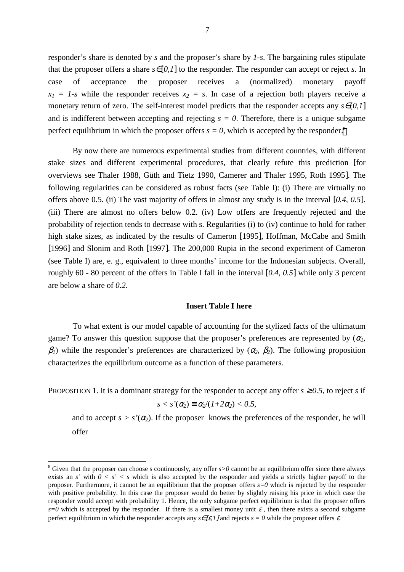responder's share is denoted by *s* and the proposer's share by *1-s*. The bargaining rules stipulate that the proposer offers a share  $s \in [0,1]$  to the responder. The responder can accept or reject *s*. In case of acceptance the proposer receives a (normalized) monetary payoff  $x_1 = 1$ -s while the responder receives  $x_2 = s$ . In case of a rejection both players receive a monetary return of zero. The self-interest model predicts that the responder accepts any  $s \in (0,1]$ and is indifferent between accepting and rejecting  $s = 0$ . Therefore, there is a unique subgame perfect equilibrium in which the proposer offers  $s = 0$ , which is accepted by the responder.<sup>8</sup>

By now there are numerous experimental studies from different countries, with different stake sizes and different experimental procedures, that clearly refute this prediction [for overviews see Thaler 1988, Güth and Tietz 1990, Camerer and Thaler 1995, Roth 1995]. The following regularities can be considered as robust facts (see Table I): (i) There are virtually no offers above 0.5. (ii) The vast majority of offers in almost any study is in the interval [*0.4, 0.5*]. (iii) There are almost no offers below 0.2. (iv) Low offers are frequently rejected and the probability of rejection tends to decrease with s. Regularities (i) to (iv) continue to hold for rather high stake sizes, as indicated by the results of Cameron [1995], Hoffman, McCabe and Smith [1996] and Slonim and Roth [1997]. The 200,000 Rupia in the second experiment of Cameron (see Table I) are, e. g., equivalent to three months' income for the Indonesian subjects. Overall, roughly 60 - 80 percent of the offers in Table I fall in the interval [*0.4, 0.5*] while only 3 percent are below a share of *0.2*.

#### **Insert Table I here**

To what extent is our model capable of accounting for the stylized facts of the ultimatum game? To answer this question suppose that the proposer's preferences are represented by  $(\alpha_l, \alpha_l)$  $β<sub>1</sub>$ ) while the responder's preferences are characterized by ( $α<sub>2</sub>$ ,  $β<sub>2</sub>$ ). The following proposition characterizes the equilibrium outcome as a function of these parameters.

PROPOSITION 1. It is a dominant strategy for the responder to accept any offer  $s \ge 0.5$ , to reject *s* if

$$
s < s'(\alpha_2) \equiv \alpha_2/(1+2\alpha_2) < 0.5,
$$

and to accept  $s > s'(\alpha_2)$ . If the proposer knows the preferences of the responder, he will offer

 $8$  Given that the proposer can choose s continuously, any offer  $s > 0$  cannot be an equilibrium offer since there always exists an  $s'$  with  $0 < s' < s$  which is also accepted by the responder and yields a strictly higher payoff to the proposer. Furthermore, it cannot be an equilibrium that the proposer offers *s=0* which is rejected by the responder with positive probability. In this case the proposer would do better by slightly raising his price in which case the responder would accept with probability 1. Hence, the only subgame perfect equilibrium is that the proposer offers  $s=0$  which is accepted by the responder. If there is a smallest money unit  $\varepsilon$ , then there exists a second subgame perfect equilibrium in which the responder accepts any  $s \in \mathcal{E}$ , *I* and rejects  $s = 0$  while the proposer offers  $\varepsilon$ .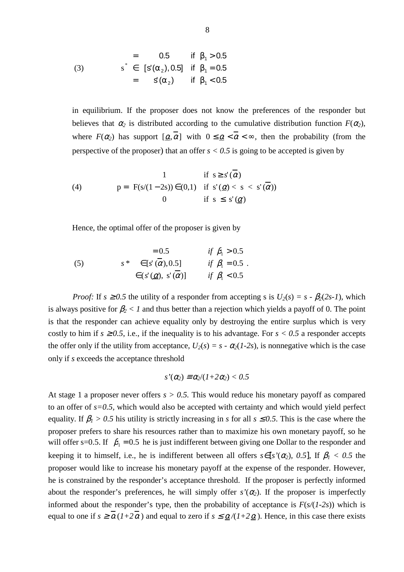(3) 
$$
s^* = \begin{cases} = & 0.5 \text{ if } \beta_1 > 0.5 \\ \in & [s'(\alpha_2), 0.5] \text{ if } \beta_1 = 0.5 \\ = & s(\alpha_2) \text{ if } \beta_1 < 0.5 \end{cases}
$$

in equilibrium. If the proposer does not know the preferences of the responder but believes that  $\alpha_2$  is distributed according to the cumulative distribution function  $F(\alpha_2)$ , where  $F(\alpha_2)$  has support  $\overline{[\alpha,\alpha]}$  with  $0 \leq \overline{\alpha} < \overline{\alpha} < \infty$ , then the probability (from the perspective of the proposer) that an offer  $s < 0.5$  is going to be accepted is given by

(4) 
$$
p = \begin{cases} 1 & \text{if } s \geq s'(\overline{\alpha}) \\ F(s/(1-2s)) \in (0,1) & \text{if } s'(\underline{\alpha}) < s < s'(\overline{\alpha})) \\ 0 & \text{if } s \leq s'(\underline{\alpha}) \end{cases}
$$

Hence, the optimal offer of the proposer is given by

(5) 
$$
s^* \begin{cases} = 0.5 & \text{if } \beta_1 > 0.5 \\ \in [s'(\overline{\alpha}), 0.5] & \text{if } \beta_1 = 0.5 \\ \in (s'(\underline{\alpha}), s'(\overline{\alpha})] & \text{if } \beta_1 < 0.5 \end{cases}
$$

*Proof:* If  $s \geq 0.5$  the utility of a responder from accepting s is  $U_2(s) = s - \beta_2(2s-1)$ , which is always positive for  $\beta_2 < 1$  and thus better than a rejection which yields a payoff of 0. The point is that the responder can achieve equality only by destroying the entire surplus which is very costly to him if  $s \ge 0.5$ , i.e., if the inequality is to his advantage. For  $s < 0.5$  a responder accepts the offer only if the utility from acceptance,  $U_2(s) = s - \alpha_2(1-2s)$ , is nonnegative which is the case only if *s* exceeds the acceptance threshold

$$
s'(\alpha_2) \equiv \alpha_2/(1+2\alpha_2) < 0.5
$$

At stage 1 a proposer never offers  $s > 0.5$ . This would reduce his monetary payoff as compared to an offer of *s=0.5,* which would also be accepted with certainty and which would yield perfect equality. If  $\beta_l > 0.5$  his utility is strictly increasing in *s* for all  $s \le 0.5$ . This is the case where the proposer prefers to share his resources rather than to maximize his own monetary payoff, so he will offer s=0.5. If  $\beta_1 = 0.5$  he is just indifferent between giving one Dollar to the responder and keeping it to himself, i.e., he is indifferent between all offers  $s \in [s'(\alpha_2), 0.5]$ , If  $\beta_1 < 0.5$  the proposer would like to increase his monetary payoff at the expense of the responder. However, he is constrained by the responder's acceptance threshold. If the proposer is perfectly informed about the responder's preferences, he will simply offer  $s'(\alpha_2)$ . If the proposer is imperfectly informed about the responder's type, then the probability of acceptance is *F*(*s/*(*1-2s*)) which is equal to one if  $s \ge \overline{\alpha}$  ( $\overline{I+2\alpha}$ ) and equal to zero if  $s \le \underline{\alpha}/(I+2\underline{\alpha})$ . Hence, in this case there exists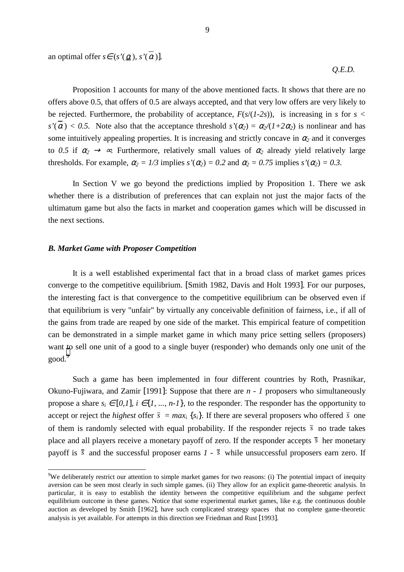an optimal offer  $s \in (s'(\alpha), s'(\alpha))$ .

Proposition 1 accounts for many of the above mentioned facts. It shows that there are no offers above 0.5, that offers of 0.5 are always accepted, and that very low offers are very likely to be rejected. Furthermore, the probability of acceptance,  $F(s/(1-2s))$ , is increasing in *s* for  $s <$  $s'(\alpha) < 0.5$ . Note also that the acceptance threshold  $s'(\alpha_2) = \alpha_2/(1+2\alpha_2)$  is nonlinear and has some intuitively appealing properties. It is increasing and strictly concave in  $\alpha_2$  and it converges to 0.5 if  $\alpha_2 \to \infty$ . Furthermore, relatively small values of  $\alpha_2$  already yield relatively large thresholds. For example,  $\alpha_2 = 1/3$  implies  $s'(\alpha_2) = 0.2$  and  $\alpha_2 = 0.75$  implies  $s'(\alpha_2) = 0.3$ .

In Section V we go beyond the predictions implied by Proposition 1. There we ask whether there is a distribution of preferences that can explain not just the major facts of the ultimatum game but also the facts in market and cooperation games which will be discussed in the next sections.

#### *B. Market Game with Proposer Competition*

 $\overline{a}$ 

It is a well established experimental fact that in a broad class of market games prices converge to the competitive equilibrium. [Smith 1982, Davis and Holt 1993]. For our purposes, the interesting fact is that convergence to the competitive equilibrium can be observed even if that equilibrium is very "unfair" by virtually any conceivable definition of fairness, i.e., if all of the gains from trade are reaped by one side of the market. This empirical feature of competition can be demonstrated in a simple market game in which many price setting sellers (proposers) want to sell one unit of a good to a single buyer (responder) who demands only one unit of the good.<sup>9</sup>

Such a game has been implemented in four different countries by Roth, Prasnikar, Okuno-Fujiwara, and Zamir [1991]: Suppose that there are *n - 1* proposers who simultaneously propose a share  $s_i \in [0,1]$ ,  $i \in \{1, ..., n-1\}$ , to the responder. The responder has the opportunity to accept or reject the *highest* offer  $\bar{s}$  = max<sub>i</sub> { $s_i$ }. If there are several proposers who offered  $\bar{s}$  one of them is randomly selected with equal probability. If the responder rejects  $\bar{s}$  no trade takes place and all players receive a monetary payoff of zero. If the responder accepts  $\bar{s}$  her monetary payoff is  $\overline{s}$  and the successful proposer earns  $1 - \overline{s}$  while unsuccessful proposers earn zero. If

*Q.E.D.*

<sup>&</sup>lt;sup>9</sup>We deliberately restrict our attention to simple market games for two reasons: (i) The potential impact of inequity aversion can be seen most clearly in such simple games. (ii) They allow for an explicit game-theoretic analysis. In particular, it is easy to establish the identity between the competitive equilibrium and the subgame perfect equilibrium outcome in these games. Notice that some experimental market games, like e.g. the continuous double auction as developed by Smith [1962], have such complicated strategy spaces that no complete game-theoretic analysis is yet available. For attempts in this direction see Friedman and Rust [1993].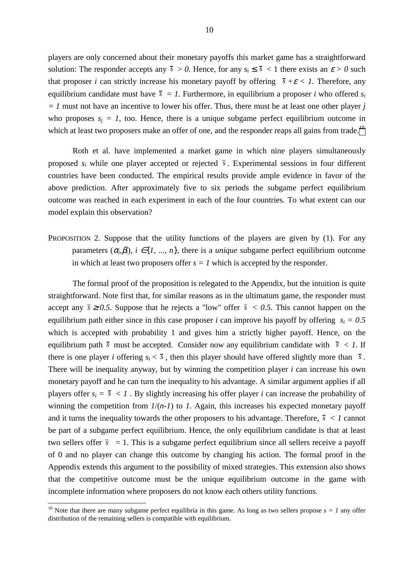players are only concerned about their monetary payoffs this market game has a straightforward solution: The responder accepts any  $\bar{s} > 0$ . Hence, for any  $s_i \leq \bar{s} < 1$  there exists an  $\varepsilon > 0$  such that proposer *i* can strictly increase his monetary payoff by offering  $\bar{s} + \varepsilon < 1$ . Therefore, any equilibrium candidate must have  $\bar{s} = 1$ . Furthermore, in equilibrium a proposer *i* who offered  $s_i$ *= 1* must not have an incentive to lower his offer. Thus, there must be at least one other player *j* who proposes  $s_i = 1$ , too. Hence, there is a unique subgame perfect equilibrium outcome in which at least two proposers make an offer of one, and the responder reaps all gains from trade.<sup>10</sup>

Roth et al. have implemented a market game in which nine players simultaneously proposed  $s_i$  while one player accepted or rejected  $\bar{s}$ . Experimental sessions in four different countries have been conducted. The empirical results provide ample evidence in favor of the above prediction. After approximately five to six periods the subgame perfect equilibrium outcome was reached in each experiment in each of the four countries. To what extent can our model explain this observation?

PROPOSITION 2. Suppose that the utility functions of the players are given by (1). For any parameters  $(\alpha_i, \beta_i)$ ,  $i \in \{1, ..., n\}$ , there is a *unique* subgame perfect equilibrium outcome in which at least two proposers offer  $s = 1$  which is accepted by the responder.

The formal proof of the proposition is relegated to the Appendix, but the intuition is quite straightforward. Note first that, for similar reasons as in the ultimatum game, the responder must accept any  $\bar{s} \ge 0.5$ . Suppose that he rejects a "low" offer  $\bar{s} < 0.5$ . This cannot happen on the equilibrium path either since in this case proposer *i* can improve his payoff by offering  $s_i = 0.5$ which is accepted with probability 1 and gives him a strictly higher payoff. Hence, on the equilibrium path  $\bar{s}$  must be accepted. Consider now any equilibrium candidate with  $\bar{s}$  < 1. If there is one player *i* offering  $s_i < \overline{s}$ , then this player should have offered slightly more than  $\overline{s}$ . There will be inequality anyway, but by winning the competition player *i* can increase his own monetary payoff and he can turn the inequality to his advantage. A similar argument applies if all players offer  $s_i = \bar{s} < 1$ . By slightly increasing his offer player *i* can increase the probability of winning the competition from  $1/(n-1)$  to 1. Again, this increases his expected monetary payoff and it turns the inequality towards the other proposers to his advantage. Therefore,  $\bar{s}$  < 1 cannot be part of a subgame perfect equilibrium. Hence, the only equilibrium candidate is that at least two sellers offer  $\bar{s}$  = 1. This is a subgame perfect equilibrium since all sellers receive a payoff of 0 and no player can change this outcome by changing his action. The formal proof in the Appendix extends this argument to the possibility of mixed strategies. This extension also shows that the competitive outcome must be the unique equilibrium outcome in the game with incomplete information where proposers do not know each others utility functions.

l

<sup>&</sup>lt;sup>10</sup> Note that there are many subgame perfect equilibria in this game. As long as two sellers propose  $s = 1$  any offer distribution of the remaining sellers is compatible with equilibrium.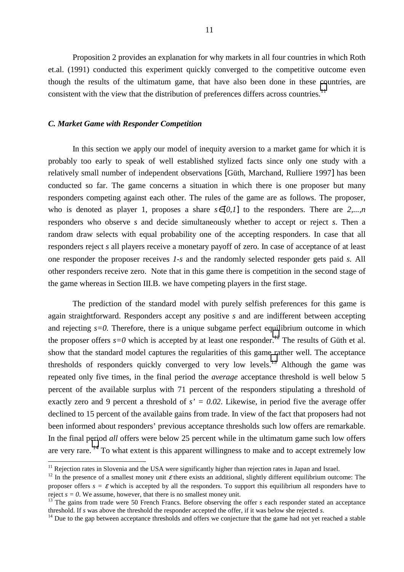Proposition 2 provides an explanation for why markets in all four countries in which Roth et.al. (1991) conducted this experiment quickly converged to the competitive outcome even though the results of the ultimatum game, that have also been done in these countries, are consistent with the view that the distribution of preferences differs across countries.<sup>11</sup>

#### *C. Market Game with Responder Competition*

 $\overline{a}$ 

In this section we apply our model of inequity aversion to a market game for which it is probably too early to speak of well established stylized facts since only one study with a relatively small number of independent observations [Güth, Marchand, Rulliere 1997] has been conducted so far. The game concerns a situation in which there is one proposer but many responders competing against each other. The rules of the game are as follows. The proposer, who is denoted as player 1, proposes a share *s*∈[*0,1*] to the responders. There are *2,...,n* responders who observe *s* and decide simultaneously whether to accept or reject *s*. Then a random draw selects with equal probability one of the accepting responders. In case that all responders reject *s* all players receive a monetary payoff of zero. In case of acceptance of at least one responder the proposer receives *1-s* and the randomly selected responder gets paid *s.* All other responders receive zero. Note that in this game there is competition in the second stage of the game whereas in Section III.B. we have competing players in the first stage.

The prediction of the standard model with purely selfish preferences for this game is again straightforward. Responders accept any positive *s* and are indifferent between accepting and rejecting *s=0.* Therefore, there is a unique subgame perfect equilibrium outcome in which the proposer offers  $s=0$  which is accepted by at least one responder.<sup>12</sup> The results of Güth et al. show that the standard model captures the regularities of this game rather well. The acceptance thresholds of responders quickly converged to very low levels.<sup>13</sup> Although the game was repeated only five times, in the final period the *average* acceptance threshold is well below 5 percent of the available surplus with 71 percent of the responders stipulating a threshold of exactly zero and 9 percent a threshold of  $s' = 0.02$ . Likewise, in period five the average offer declined to 15 percent of the available gains from trade. In view of the fact that proposers had not been informed about responders' previous acceptance thresholds such low offers are remarkable. In the final period *all* offers were below 25 percent while in the ultimatum game such low offers are very rare.  $14$  To what extent is this apparent willingness to make and to accept extremely low

<sup>&</sup>lt;sup>11</sup> Rejection rates in Slovenia and the USA were significantly higher than rejection rates in Japan and Israel.

<sup>&</sup>lt;sup>12</sup> In the presence of a smallest money unit  $\varepsilon$  there exists an additional, slightly different equilibrium outcome: The proposer offers  $s = \varepsilon$  which is accepted by all the responders. To support this equilibrium all responders have to reject  $s = 0$ . We assume, however, that there is no smallest money unit.

<sup>&</sup>lt;sup>13</sup> The gains from trade were 50 French Francs. Before observing the offer *s* each responder stated an acceptance threshold. If *s* was above the threshold the responder accepted the offer, if it was below she rejected *s*.

<sup>&</sup>lt;sup>14</sup> Due to the gap between acceptance thresholds and offers we conjecture that the game had not yet reached a stable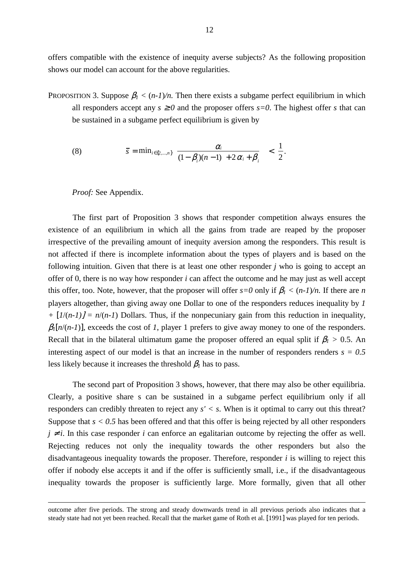offers compatible with the existence of inequity averse subjects? As the following proposition shows our model can account for the above regularities.

PROPOSITION 3. Suppose  $\beta_1 < (n-1)/n$ . Then there exists a subgame perfect equilibrium in which all responders accept any  $s \ge 0$  and the proposer offers  $s=0$ . The highest offer *s* that can be sustained in a subgame perfect equilibrium is given by

(8) 
$$
\bar{s} = \min_{i \in \{2,\dots,n\}} \left\{ \frac{\alpha_i}{(1-\beta_i)(n-1) + 2\alpha_i + \beta_i} \right\} < \frac{1}{2}.
$$

*Proof:* See Appendix.

 $\overline{a}$ 

The first part of Proposition 3 shows that responder competition always ensures the existence of an equilibrium in which all the gains from trade are reaped by the proposer irrespective of the prevailing amount of inequity aversion among the responders. This result is not affected if there is incomplete information about the types of players and is based on the following intuition. Given that there is at least one other responder *j* who is going to accept an offer of 0, there is no way how responder *i* can affect the outcome and he may just as well accept this offer, too. Note, however, that the proposer will offer  $s=0$  only if  $\beta_1 < (n-1)/n$ . If there are *n* players altogether, than giving away one Dollar to one of the responders reduces inequality by *1 +* [*1*/(*n-1)*] *= n*/(*n-1*) Dollars. Thus, if the nonpecuniary gain from this reduction in inequality,  $\beta_l[n/(n-1)]$ , exceeds the cost of *1*, player 1 prefers to give away money to one of the responders. Recall that in the bilateral ultimatum game the proposer offered an equal split if  $\beta_l > 0.5$ . An interesting aspect of our model is that an increase in the number of responders renders  $s = 0.5$ less likely because it increases the threshold  $\beta_l$  has to pass.

The second part of Proposition 3 shows, however, that there may also be other equilibria. Clearly, a positive share s can be sustained in a subgame perfect equilibrium only if all responders can credibly threaten to reject any  $s' < s$ . When is it optimal to carry out this threat? Suppose that  $s < 0.5$  has been offered and that this offer is being rejected by all other responders  $j \neq i$ . In this case responder *i* can enforce an egalitarian outcome by rejecting the offer as well. Rejecting reduces not only the inequality towards the other responders but also the disadvantageous inequality towards the proposer. Therefore, responder *i* is willing to reject this offer if nobody else accepts it and if the offer is sufficiently small, i.e., if the disadvantageous inequality towards the proposer is sufficiently large. More formally, given that all other

outcome after five periods. The strong and steady downwards trend in all previous periods also indicates that a steady state had not yet been reached. Recall that the market game of Roth et al. [1991] was played for ten periods.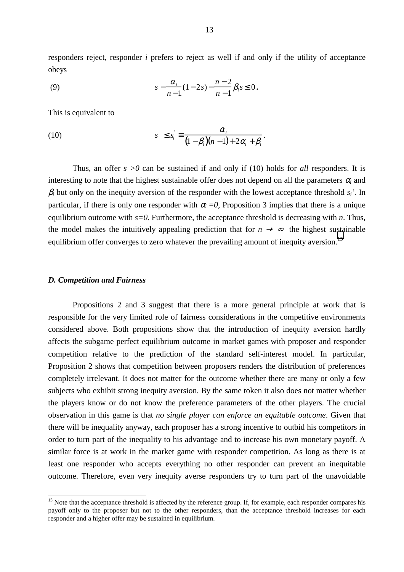responders reject, responder *i* prefers to reject as well if and only if the utility of acceptance obeys

(9) 
$$
s - \frac{\alpha_i}{n-1} (1-2s) - \frac{n-2}{n-1} \beta_i s \leq 0.
$$

This is equivalent to

(10) 
$$
s \leq s_i \equiv \frac{\alpha_i}{(1-\beta_i)(n-1)+2\alpha_i+\beta_i}
$$

Thus, an offer  $s > 0$  can be sustained if and only if (10) holds for *all* responders. It is interesting to note that the highest sustainable offer does not depend on all the parameters  $\alpha_i$  and  $\beta_i$  but only on the inequity aversion of the responder with the lowest acceptance threshold  $s_i$ <sup>'</sup>. In particular, if there is only one responder with  $\alpha_i = 0$ , Proposition 3 implies that there is a unique equilibrium outcome with  $s=0$ . Furthermore, the acceptance threshold is decreasing with *n*. Thus, the model makes the intuitively appealing prediction that for  $n \to \infty$  the highest sustainable equilibrium offer converges to zero whatever the prevailing amount of inequity aversion.<sup>15</sup>

.

#### *D. Competition and Fairness*

 $\overline{a}$ 

Propositions 2 and 3 suggest that there is a more general principle at work that is responsible for the very limited role of fairness considerations in the competitive environments considered above. Both propositions show that the introduction of inequity aversion hardly affects the subgame perfect equilibrium outcome in market games with proposer and responder competition relative to the prediction of the standard self-interest model. In particular, Proposition 2 shows that competition between proposers renders the distribution of preferences completely irrelevant. It does not matter for the outcome whether there are many or only a few subjects who exhibit strong inequity aversion. By the same token it also does not matter whether the players know or do not know the preference parameters of the other players. The crucial observation in this game is that *no single player can enforce an equitable outcome*. Given that there will be inequality anyway, each proposer has a strong incentive to outbid his competitors in order to turn part of the inequality to his advantage and to increase his own monetary payoff. A similar force is at work in the market game with responder competition. As long as there is at least one responder who accepts everything no other responder can prevent an inequitable outcome. Therefore, even very inequity averse responders try to turn part of the unavoidable

<sup>&</sup>lt;sup>15</sup> Note that the acceptance threshold is affected by the reference group. If, for example, each responder compares his payoff only to the proposer but not to the other responders, than the acceptance threshold increases for each responder and a higher offer may be sustained in equilibrium.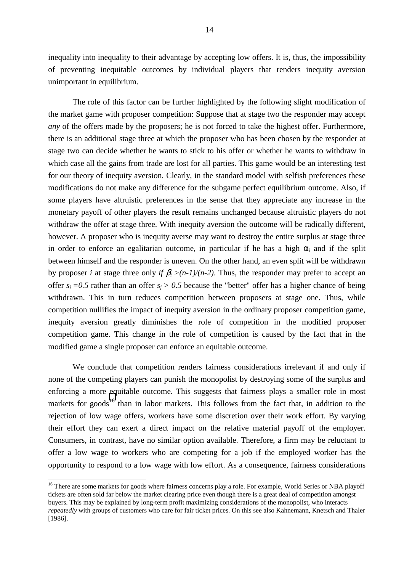inequality into inequality to their advantage by accepting low offers. It is, thus, the impossibility of preventing inequitable outcomes by individual players that renders inequity aversion unimportant in equilibrium.

The role of this factor can be further highlighted by the following slight modification of the market game with proposer competition: Suppose that at stage two the responder may accept *any* of the offers made by the proposers; he is not forced to take the highest offer. Furthermore, there is an additional stage three at which the proposer who has been chosen by the responder at stage two can decide whether he wants to stick to his offer or whether he wants to withdraw in which case all the gains from trade are lost for all parties. This game would be an interesting test for our theory of inequity aversion. Clearly, in the standard model with selfish preferences these modifications do not make any difference for the subgame perfect equilibrium outcome. Also, if some players have altruistic preferences in the sense that they appreciate any increase in the monetary payoff of other players the result remains unchanged because altruistic players do not withdraw the offer at stage three. With inequity aversion the outcome will be radically different, however. A proposer who is inequity averse may want to destroy the entire surplus at stage three in order to enforce an egalitarian outcome, in particular if he has a high  $\alpha_i$  and if the split between himself and the responder is uneven. On the other hand, an even split will be withdrawn by proposer *i* at stage three only *if*  $\beta$ *i* >(*n-1)/(n-2)*. Thus, the responder may prefer to accept an offer  $s_i = 0.5$  rather than an offer  $s_i > 0.5$  because the "better" offer has a higher chance of being withdrawn. This in turn reduces competition between proposers at stage one. Thus, while competition nullifies the impact of inequity aversion in the ordinary proposer competition game, inequity aversion greatly diminishes the role of competition in the modified proposer competition game. This change in the role of competition is caused by the fact that in the modified game a single proposer can enforce an equitable outcome.

We conclude that competition renders fairness considerations irrelevant if and only if none of the competing players can punish the monopolist by destroying some of the surplus and enforcing a more equitable outcome. This suggests that fairness plays a smaller role in most markets for goods<sup>16</sup> than in labor markets. This follows from the fact that, in addition to the rejection of low wage offers, workers have some discretion over their work effort. By varying their effort they can exert a direct impact on the relative material payoff of the employer. Consumers, in contrast, have no similar option available. Therefore, a firm may be reluctant to offer a low wage to workers who are competing for a job if the employed worker has the opportunity to respond to a low wage with low effort. As a consequence, fairness considerations

l

<sup>&</sup>lt;sup>16</sup> There are some markets for goods where fairness concerns play a role. For example, World Series or NBA playoff tickets are often sold far below the market clearing price even though there is a great deal of competition amongst buyers. This may be explained by long-term profit maximizing considerations of the monopolist, who interacts *repeatedly* with groups of customers who care for fair ticket prices. On this see also Kahnemann, Knetsch and Thaler [1986].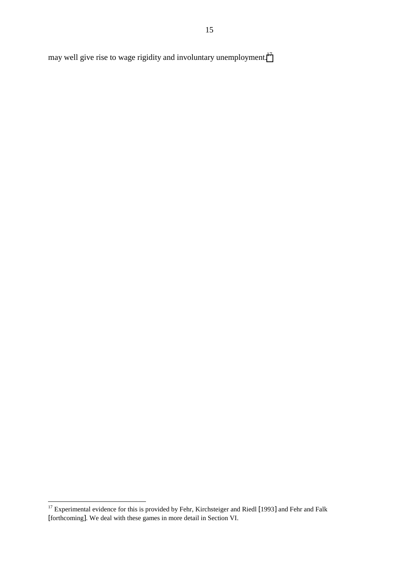may well give rise to wage rigidity and involuntary unemployment.<sup>17</sup>

<sup>&</sup>lt;sup>17</sup> Experimental evidence for this is provided by Fehr, Kirchsteiger and Riedl [1993] and Fehr and Falk [forthcoming]. We deal with these games in more detail in Section VI.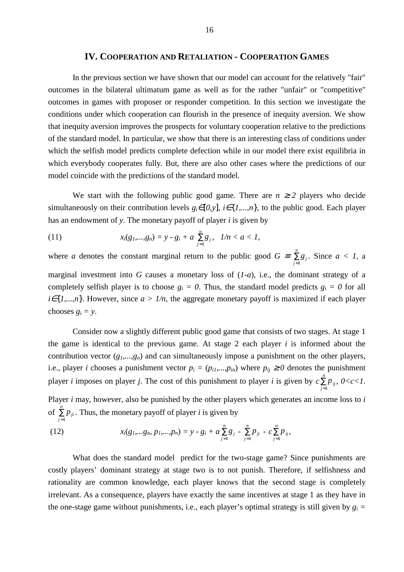#### **IV. COOPERATION AND RETALIATION - COOPERATION GAMES**

In the previous section we have shown that our model can account for the relatively "fair" outcomes in the bilateral ultimatum game as well as for the rather "unfair" or "competitive" outcomes in games with proposer or responder competition. In this section we investigate the conditions under which cooperation can flourish in the presence of inequity aversion. We show that inequity aversion improves the prospects for voluntary cooperation relative to the predictions of the standard model. In particular, we show that there is an interesting class of conditions under which the selfish model predicts complete defection while in our model there exist equilibria in which everybody cooperates fully. But, there are also other cases where the predictions of our model coincide with the predictions of the standard model.

We start with the following public good game. There are  $n \geq 2$  players who decide simultaneously on their contribution levels  $g_i \in [0, y]$ *, i* $\in \{1, ..., n\}$ , to the public good. Each player has an endowment of *y*. The monetary payoff of player *i* is given by

(11) 
$$
x_i(g_1,...,g_n) = y \cdot g_i + a \sum_{j=1}^n g_j, \quad 1/n < a < 1,
$$

where *a* denotes the constant marginal return to the public good  $G = \sum_{j=1}^{n} g_j$  $\sum_{i=1}^{n} g_i$ . Since *a* < *l*, a marginal investment into *G* causes a monetary loss of  $(1-a)$ , i.e., the dominant strategy of a completely selfish player is to choose  $g_i = 0$ . Thus, the standard model predicts  $g_i = 0$  for all  $i \in \{1,...,n\}$ . However, since  $a > 1/n$ , the aggregate monetary payoff is maximized if each player chooses  $g_i = y$ .

Consider now a slightly different public good game that consists of two stages. At stage 1 the game is identical to the previous game. At stage 2 each player *i* is informed about the contribution vector  $(g_1,...,g_n)$  and can simultaneously impose a punishment on the other players, i.e., player *i* chooses a punishment vector  $p_i = (p_{i1},...,p_{in})$  where  $p_{ij} \ge 0$  denotes the punishment player *i* imposes on player *j*. The cost of this punishment to player *i* is given by  $c \sum_{j=1}^{n} p_{ij}$  $\sum_{ij}^{n} p_{ij}$ , 0<c<1.

Player *i* may, however, also be punished by the other players which generates an income loss to *i* of  $\sum_{j=1}^{\infty} p_{ji}$  $\sum_{i=1}^{n} p_{i}$ . Thus, the monetary payoff of player *i* is given by

(12) 
$$
x_i(g_1,...g_n, p_1,...,p_n) = y - g_i + a \sum_{j=1}^n g_j - \sum_{j=1}^n p_{ji} - c \sum_{j=1}^n p_{ij},
$$

What does the standard model predict for the two-stage game? Since punishments are costly players' dominant strategy at stage two is to not punish. Therefore, if selfishness and rationality are common knowledge, each player knows that the second stage is completely irrelevant. As a consequence, players have exactly the same incentives at stage 1 as they have in the one-stage game without punishments, i.e., each player's optimal strategy is still given by  $g_i =$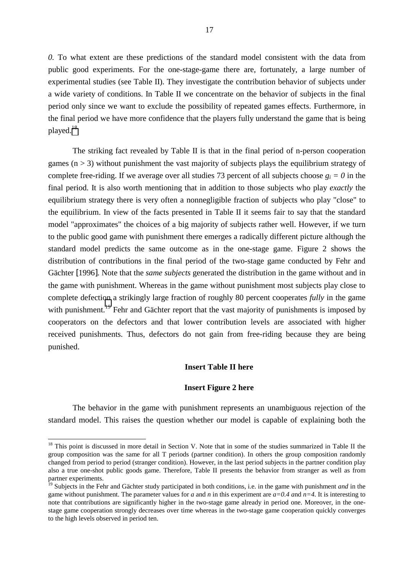*0.* To what extent are these predictions of the standard model consistent with the data from public good experiments. For the one-stage-game there are, fortunately, a large number of experimental studies (see Table II). They investigate the contribution behavior of subjects under a wide variety of conditions. In Table II we concentrate on the behavior of subjects in the final period only since we want to exclude the possibility of repeated games effects. Furthermore, in the final period we have more confidence that the players fully understand the game that is being played.18

The striking fact revealed by Table II is that in the final period of n-person cooperation games ( $n > 3$ ) without punishment the vast majority of subjects plays the equilibrium strategy of complete free-riding. If we average over all studies 73 percent of all subjects choose  $g_i = 0$  in the final period. It is also worth mentioning that in addition to those subjects who play *exactly* the equilibrium strategy there is very often a nonnegligible fraction of subjects who play "close" to the equilibrium. In view of the facts presented in Table II it seems fair to say that the standard model "approximates" the choices of a big majority of subjects rather well. However, if we turn to the public good game with punishment there emerges a radically different picture although the standard model predicts the same outcome as in the one-stage game. Figure 2 shows the distribution of contributions in the final period of the two-stage game conducted by Fehr and Gächter [1996]. Note that the *same subjects* generated the distribution in the game without and in the game with punishment. Whereas in the game without punishment most subjects play close to complete defection a strikingly large fraction of roughly 80 percent cooperates *fully* in the game with punishment.<sup>19</sup> Fehr and Gächter report that the vast majority of punishments is imposed by cooperators on the defectors and that lower contribution levels are associated with higher received punishments. Thus, defectors do not gain from free-riding because they are being punished.

#### **Insert Table II here**

#### **Insert Figure 2 here**

The behavior in the game with punishment represents an unambiguous rejection of the standard model. This raises the question whether our model is capable of explaining both the

l

 $18$  This point is discussed in more detail in Section V. Note that in some of the studies summarized in Table II the group composition was the same for all T periods (partner condition). In others the group composition randomly changed from period to period (stranger condition). However, in the last period subjects in the partner condition play also a true one-shot public goods game. Therefore, Table II presents the behavior from stranger as well as from partner experiments.

<sup>&</sup>lt;sup>19</sup> Subjects in the Fehr and Gächter study participated in both conditions, i.e. in the game with punishment *and* in the game without punishment. The parameter values for *a* and *n* in this experiment are  $a=0.4$  and  $n=4$ . It is interesting to note that contributions are significantly higher in the two-stage game already in period one. Moreover, in the onestage game cooperation strongly decreases over time whereas in the two-stage game cooperation quickly converges to the high levels observed in period ten.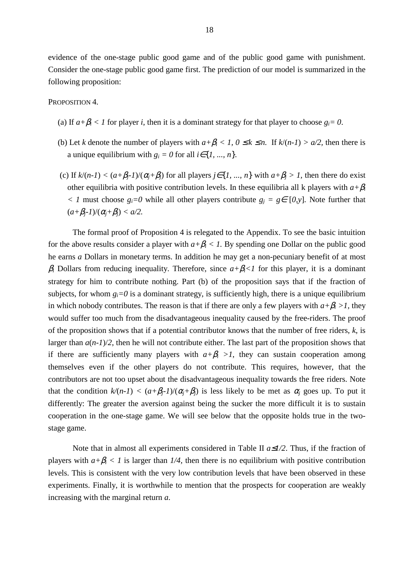evidence of the one-stage public good game and of the public good game with punishment. Consider the one-stage public good game first. The prediction of our model is summarized in the following proposition:

PROPOSITION 4.

- (a) If  $a+\beta_i < 1$  for player *i*, then it is a dominant strategy for that player to choose  $g_i = 0$ .
- (b) Let *k* denote the number of players with  $a+\beta_i < 1$ ,  $0 \le k \le n$ . If  $k/(n-1) > a/2$ , then there is a unique equilibrium with  $g_i = 0$  for all  $i \in \{1, ..., n\}$ .
- (c) If  $k/(n-1) < (a+\beta_i-1)/(\alpha_i+\beta_i)$  for all players  $i \in \{1, ..., n\}$  with  $a+\beta_i > 1$ , then there do exist other equilibria with positive contribution levels. In these equilibria all k players with  $a+\beta$ <sup>*i*</sup> *< 1* must choose *gi=0* while all other players contribute *gj = g*<sup>∈</sup> [*0,y*]*.* Note further that  $(a+\beta_i-1)/(\alpha_i+\beta_i) < a/2.$

The formal proof of Proposition 4 is relegated to the Appendix. To see the basic intuition for the above results consider a player with  $a+\beta_i < 1$ . By spending one Dollar on the public good he earns *a* Dollars in monetary terms. In addition he may get a non-pecuniary benefit of at most β*<sup>i</sup>* Dollars from reducing inequality. Therefore, since *a+*β*i<1* for this player, it is a dominant strategy for him to contribute nothing. Part (b) of the proposition says that if the fraction of subjects, for whom  $g_i=0$  is a dominant strategy, is sufficiently high, there is a unique equilibrium in which nobody contributes. The reason is that if there are only a few players with  $a+\beta_i > 1$ , they would suffer too much from the disadvantageous inequality caused by the free-riders. The proof of the proposition shows that if a potential contributor knows that the number of free riders, *k*, is larger than  $a(n-1)/2$ , then he will not contribute either. The last part of the proposition shows that if there are sufficiently many players with  $a+\beta$ *i* >1, they can sustain cooperation among themselves even if the other players do not contribute. This requires, however, that the contributors are not too upset about the disadvantageous inequality towards the free riders. Note that the condition  $k(n-1) < (a+\beta_i-1)/(\alpha_i+\beta_i)$  is less likely to be met as  $\alpha_i$  goes up. To put it differently: The greater the aversion against being the sucker the more difficult it is to sustain cooperation in the one-stage game. We will see below that the opposite holds true in the twostage game.

Note that in almost all experiments considered in Table II *a*≤*1/2*. Thus, if the fraction of players with  $a+\beta_i < 1$  is larger than  $1/4$ , then there is no equilibrium with positive contribution levels. This is consistent with the very low contribution levels that have been observed in these experiments. Finally, it is worthwhile to mention that the prospects for cooperation are weakly increasing with the marginal return *a*.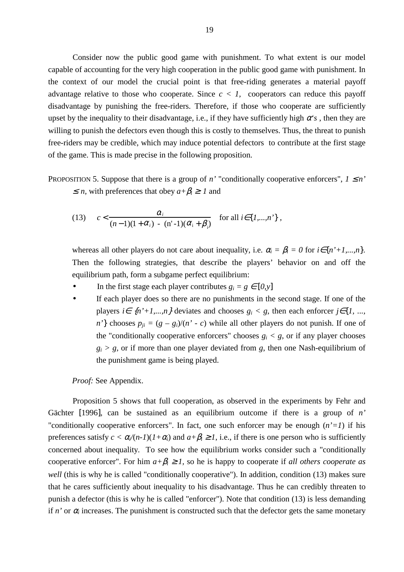Consider now the public good game with punishment. To what extent is our model capable of accounting for the very high cooperation in the public good game with punishment. In the context of our model the crucial point is that free-riding generates a material payoff advantage relative to those who cooperate. Since  $c < 1$ , cooperators can reduce this payoff disadvantage by punishing the free-riders. Therefore, if those who cooperate are sufficiently upset by the inequality to their disadvantage, i.e., if they have sufficiently high  $\alpha$ 's, then they are willing to punish the defectors even though this is costly to themselves. Thus, the threat to punish free-riders may be credible, which may induce potential defectors to contribute at the first stage of the game. This is made precise in the following proposition.

PROPOSITION 5. Suppose that there is a group of *n'* "conditionally cooperative enforcers",  $1 \le n'$ 

 $\leq n$ , with preferences that obey  $a + \beta_i \geq 1$  and

(13) 
$$
c < \frac{\alpha_i}{(n-1)(1+\alpha_i) - (n'-1)(\alpha_i+\beta_i)} \quad \text{for all } i \in \{1,...,n'\}\,,
$$

whereas all other players do not care about inequality, i.e.  $\alpha_i = \beta_i = 0$  for  $i \in \{n'+1,\dots,n\}$ . Then the following strategies, that describe the players' behavior on and off the equilibrium path, form a subgame perfect equilibrium:

- In the first stage each player contributes  $g_i = g \in [0, y]$
- If each player does so there are no punishments in the second stage. If one of the players  $i \in \{n'+1,\dots,n\}$  deviates and chooses  $g_i < g$ , then each enforcer  $j \in \{1, \dots, n\}$  $n'$ } chooses  $p_{ji} = (g - g_i)/(n' - c)$  while all other players do not punish. If one of the "conditionally cooperative enforcers" chooses  $g_i < g$ , or if any player chooses  $g_i > g$ , or if more than one player deviated from *g*, then one Nash-equilibrium of the punishment game is being played.

#### *Proof:* See Appendix.

Proposition 5 shows that full cooperation, as observed in the experiments by Fehr and Gächter [1996], can be sustained as an equilibrium outcome if there is a group of *n'* "conditionally cooperative enforcers". In fact, one such enforcer may be enough  $(n'=1)$  if his preferences satisfy  $c < \alpha_i/(n-1)(1+\alpha_i)$  and  $a+\beta_i \ge 1$ , i.e., if there is one person who is sufficiently concerned about inequality. To see how the equilibrium works consider such a "conditionally cooperative enforcer". For him  $a+\beta_i \geq 1$ , so he is happy to cooperate if *all others cooperate as well* (this is why he is called "conditionally cooperative"). In addition, condition (13) makes sure that he cares sufficiently about inequality to his disadvantage. Thus he can credibly threaten to punish a defector (this is why he is called "enforcer"). Note that condition (13) is less demanding if *n'* or  $\alpha$ <sub>i</sub> increases. The punishment is constructed such that the defector gets the same monetary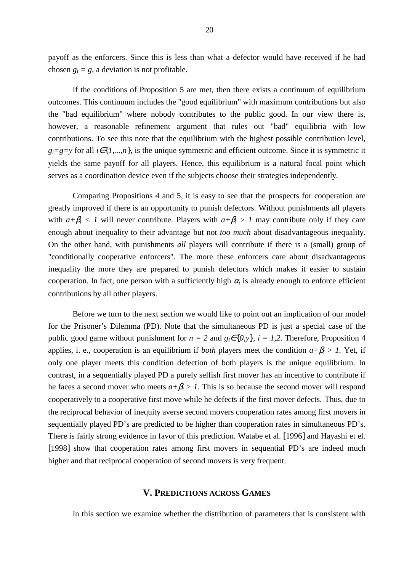payoff as the enforcers. Since this is less than what a defector would have received if he had chosen  $g_i = g$ , a deviation is not profitable.

If the conditions of Proposition 5 are met, then there exists a continuum of equilibrium outcomes. This continuum includes the "good equilibrium" with maximum contributions but also the "bad equilibrium" where nobody contributes to the public good. In our view there is, however, a reasonable refinement argument that rules out "bad" equilibria with low contributions. To see this note that the equilibrium with the highest possible contribution level*,*  $g_i=g=y$  for all  $i\in\{1,...,n\}$ , is the unique symmetric and efficient outcome. Since it is symmetric it yields the same payoff for all players. Hence, this equilibrium is a natural focal point which serves as a coordination device even if the subjects choose their strategies independently.

Comparing Propositions 4 and 5, it is easy to see that the prospects for cooperation are greatly improved if there is an opportunity to punish defectors. Without punishments all players with  $a+\beta_i < 1$  will never contribute. Players with  $a+\beta_i > 1$  may contribute only if they care enough about inequality to their advantage but not *too much* about disadvantageous inequality. On the other hand, with punishments *all* players will contribute if there is a (small) group of "conditionally cooperative enforcers". The more these enforcers care about disadvantageous inequality the more they are prepared to punish defectors which makes it easier to sustain cooperation. In fact, one person with a sufficiently high  $\alpha_i$  is already enough to enforce efficient contributions by all other players.

Before we turn to the next section we would like to point out an implication of our model for the Prisoner's Dilemma (PD). Note that the simultaneous PD is just a special case of the public good game without punishment for  $n = 2$  and  $g_i \in \{0, y\}$ ,  $i = 1, 2$ . Therefore, Proposition 4 applies, i. e., cooperation is an equilibrium if *both* players meet the condition  $a+\beta_i > 1$ . Yet, if only one player meets this condition defection of both players is the unique equilibrium. In contrast, in a sequentially played PD a purely selfish first mover has an incentive to contribute if he faces a second mover who meets  $a+\beta_i > 1$ . This is so because the second mover will respond cooperatively to a cooperative first move while he defects if the first mover defects. Thus, due to the reciprocal behavior of inequity averse second movers cooperation rates among first movers in sequentially played PD's are predicted to be higher than cooperation rates in simultaneous PD's. There is fairly strong evidence in favor of this prediction. Watabe et al. [1996] and Hayashi et el. [1998] show that cooperation rates among first movers in sequential PD's are indeed much higher and that reciprocal cooperation of second movers is very frequent.

#### **V. PREDICTIONS ACROSS GAMES**

In this section we examine whether the distribution of parameters that is consistent with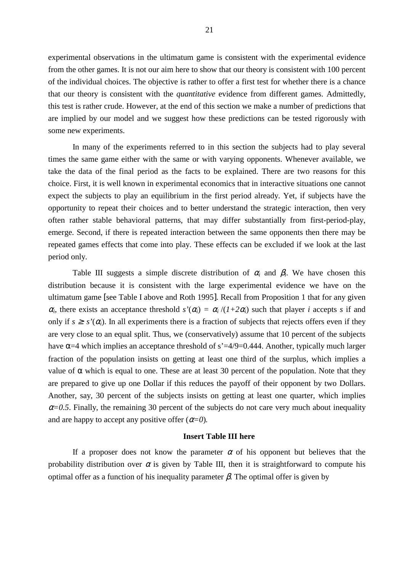experimental observations in the ultimatum game is consistent with the experimental evidence from the other games. It is not our aim here to show that our theory is consistent with 100 percent of the individual choices. The objective is rather to offer a first test for whether there is a chance that our theory is consistent with the *quantitative* evidence from different games. Admittedly, this test is rather crude. However, at the end of this section we make a number of predictions that are implied by our model and we suggest how these predictions can be tested rigorously with some new experiments.

In many of the experiments referred to in this section the subjects had to play several times the same game either with the same or with varying opponents. Whenever available, we take the data of the final period as the facts to be explained. There are two reasons for this choice. First, it is well known in experimental economics that in interactive situations one cannot expect the subjects to play an equilibrium in the first period already. Yet, if subjects have the opportunity to repeat their choices and to better understand the strategic interaction, then very often rather stable behavioral patterns, that may differ substantially from first-period-play, emerge. Second, if there is repeated interaction between the same opponents then there may be repeated games effects that come into play. These effects can be excluded if we look at the last period only.

Table III suggests a simple discrete distribution of  $\alpha_i$  and  $\beta_i$ . We have chosen this distribution because it is consistent with the large experimental evidence we have on the ultimatum game [see Table I above and Roth 1995]. Recall from Proposition 1 that for any given  $\alpha_i$ , there exists an acceptance threshold  $s'(\alpha_i) = \alpha_i/(1+2\alpha_i)$  such that player *i* accepts *s* if and only if  $s \geq s'(\alpha_i)$ . In all experiments there is a fraction of subjects that rejects offers even if they are very close to an equal split. Thus, we (conservatively) assume that 10 percent of the subjects have  $\alpha$ =4 which implies an acceptance threshold of s'=4/9=0.444. Another, typically much larger fraction of the population insists on getting at least one third of the surplus, which implies a value of α which is equal to one. These are at least 30 percent of the population. Note that they are prepared to give up one Dollar if this reduces the payoff of their opponent by two Dollars. Another, say, 30 percent of the subjects insists on getting at least one quarter, which implies  $\alpha$ =0.5. Finally, the remaining 30 percent of the subjects do not care very much about inequality and are happy to accept any positive offer  $(\alpha=0)$ *.* 

#### **Insert Table III here**

If a proposer does not know the parameter  $\alpha$  of his opponent but believes that the probability distribution over  $\alpha$  is given by Table III, then it is straightforward to compute his optimal offer as a function of his inequality parameter β. The optimal offer is given by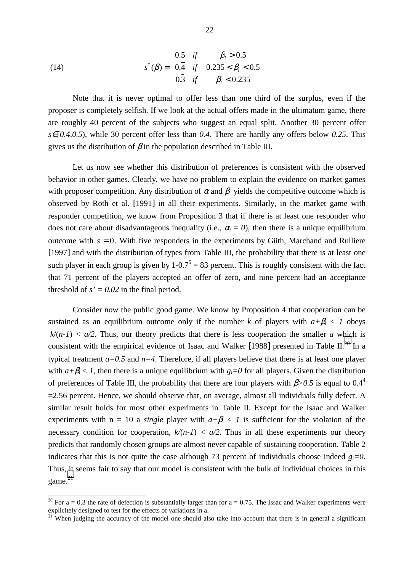(14) 
$$
s^*(\beta) = \begin{cases} 0.5 & \text{if } \beta_i > 0.5 \\ 0.4 & \text{if } 0.235 < \beta_i < 0.5 \\ 0.3 & \text{if } \beta_i < 0.235 \end{cases}
$$

Note that it is never optimal to offer less than one third of the surplus, even if the proposer is completely selfish. If we look at the actual offers made in the ultimatum game, there are roughly 40 percent of the subjects who suggest an equal split. Another 30 percent offer *s*∈[*0.4,0.5*), while 30 percent offer less than *0.4*. There are hardly any offers below *0.25*. This gives us the distribution of  $\beta$  in the population described in Table III.

Let us now see whether this distribution of preferences is consistent with the observed behavior in other games. Clearly, we have no problem to explain the evidence on market games with proposer competition. Any distribution of  $\alpha$  and  $\beta$  yields the competitive outcome which is observed by Roth et al. [1991] in all their experiments. Similarly, in the market game with responder competition, we know from Proposition 3 that if there is at least one responder who does not care about disadvantageous inequality (i.e.,  $\alpha_i = 0$ ), then there is a unique equilibrium outcome with  $s = 0$ . With five responders in the experiments by Güth, Marchand and Rulliere [1997] and with the distribution of types from Table III, the probability that there is at least one such player in each group is given by  $1{\text -}0.7^5 = 83$  percent. This is roughly consistent with the fact that 71 percent of the players accepted an offer of zero, and nine percent had an acceptance threshold of  $s' = 0.02$  in the final period.

Consider now the public good game. We know by Proposition 4 that cooperation can be sustained as an equilibrium outcome only if the number *k* of players with  $a+\beta_i < 1$  obeys  $k/(n-1) < a/2$ . Thus, our theory predicts that there is less cooperation the smaller *a* which is consistent with the empirical evidence of Isaac and Walker [1988] presented in Table II.<sup>20</sup> In a typical treatment  $a=0.5$  and  $n=4$ . Therefore, if all players believe that there is at least one player with  $a+\beta_i < 1$ , then there is a unique equilibrium with  $g_i=0$  for all players. Given the distribution of preferences of Table III, the probability that there are four players with  $\beta > 0.5$  is equal to 0.4<sup>4</sup> =2.56 percent. Hence, we should observe that, on average, almost all individuals fully defect. A similar result holds for most other experiments in Table II. Except for the Isaac and Walker experiments with  $n = 10$  a *single* player with  $a + \beta_i < 1$  is sufficient for the violation of the necessary condition for cooperation,  $k/(n-1) < a/2$ . Thus in all these experiments our theory predicts that randomly chosen groups are almost never capable of sustaining cooperation. Table 2 indicates that this is not quite the case although 73 percent of individuals choose indeed  $g_i=0$ . Thus, it seems fair to say that our model is consistent with the bulk of individual choices in this game.<sup>21</sup>

<sup>&</sup>lt;sup>20</sup> For a = 0.3 the rate of defection is substantially larger than for a = 0.75. The Issac and Walker experiments were explicitely designed to test for the effects of variations in a.

<sup>&</sup>lt;sup>21</sup> When judging the accuracy of the model one should also take into account that there is in general a significant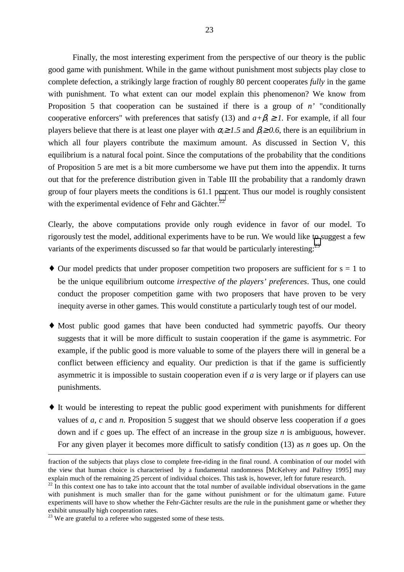Finally, the most interesting experiment from the perspective of our theory is the public good game with punishment. While in the game without punishment most subjects play close to complete defection, a strikingly large fraction of roughly 80 percent cooperates *fully* in the game with punishment. To what extent can our model explain this phenomenon? We know from Proposition 5 that cooperation can be sustained if there is a group of *n'* "conditionally cooperative enforcers" with preferences that satisfy (13) and  $a+\beta_i \geq 1$ . For example, if all four players believe that there is at least one player with  $\alpha_i \geq 1.5$  and  $\beta_i \geq 0.6$ , there is an equilibrium in which all four players contribute the maximum amount. As discussed in Section V, this equilibrium is a natural focal point. Since the computations of the probability that the conditions of Proposition 5 are met is a bit more cumbersome we have put them into the appendix. It turns out that for the preference distribution given in Table III the probability that a randomly drawn group of four players meets the conditions is 61.1 percent. Thus our model is roughly consistent with the experimental evidence of Fehr and Gächter.<sup>22</sup>

Clearly, the above computations provide only rough evidence in favor of our model. To rigorously test the model, additional experiments have to be run. We would like to suggest a few variants of the experiments discussed so far that would be particularly interesting:<sup>23</sup>

- $\triangle$  Our model predicts that under proposer competition two proposers are sufficient for  $s = 1$  to be the unique equilibrium outcome *irrespective of the players' preferences*. Thus, one could conduct the proposer competition game with two proposers that have proven to be very inequity averse in other games. This would constitute a particularly tough test of our model.
- ♦ Most public good games that have been conducted had symmetric payoffs. Our theory suggests that it will be more difficult to sustain cooperation if the game is asymmetric. For example, if the public good is more valuable to some of the players there will in general be a conflict between efficiency and equality. Our prediction is that if the game is sufficiently asymmetric it is impossible to sustain cooperation even if *a* is very large or if players can use punishments.
- ♦ It would be interesting to repeat the public good experiment with punishments for different values of *a*, *c* and *n*. Proposition 5 suggest that we should observe less cooperation if *a* goes down and if *c* goes up. The effect of an increase in the group size *n* is ambiguous, however. For any given player it becomes more difficult to satisfy condition (13) as *n* goes up. On the

fraction of the subjects that plays close to complete free-riding in the final round. A combination of our model with the view that human choice is characterised by a fundamental randomness [McKelvey and Palfrey 1995] may explain much of the remaining 25 percent of individual choices. This task is, however, left for future research.

 $22 \text{ h}$  in this context one has to take into account that the total number of available individual observations in the game with punishment is much smaller than for the game without punishment or for the ultimatum game. Future experiments will have to show whether the Fehr-Gächter results are the rule in the punishment game or whether they exhibit unusually high cooperation rates.

 $23$  We are grateful to a referee who suggested some of these tests.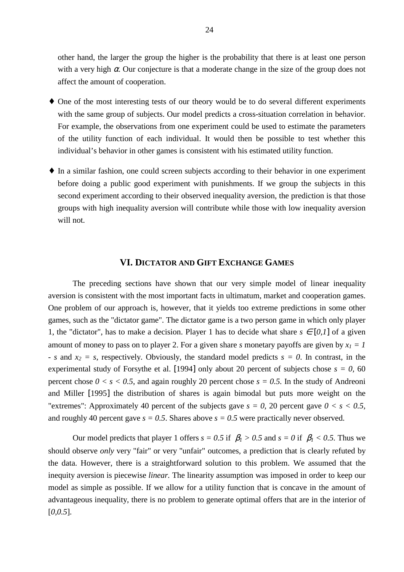other hand, the larger the group the higher is the probability that there is at least one person with a very high  $\alpha$ . Our conjecture is that a moderate change in the size of the group does not affect the amount of cooperation.

- ♦ One of the most interesting tests of our theory would be to do several different experiments with the same group of subjects. Our model predicts a cross-situation correlation in behavior. For example, the observations from one experiment could be used to estimate the parameters of the utility function of each individual. It would then be possible to test whether this individual's behavior in other games is consistent with his estimated utility function.
- ♦ In a similar fashion, one could screen subjects according to their behavior in one experiment before doing a public good experiment with punishments. If we group the subjects in this second experiment according to their observed inequality aversion, the prediction is that those groups with high inequality aversion will contribute while those with low inequality aversion will not.

#### **VI. DICTATOR AND GIFT EXCHANGE GAMES**

The preceding sections have shown that our very simple model of linear inequality aversion is consistent with the most important facts in ultimatum, market and cooperation games. One problem of our approach is, however, that it yields too extreme predictions in some other games, such as the "dictator game". The dictator game is a two person game in which only player 1, the "dictator", has to make a decision. Player 1 has to decide what share  $s \in [0,1]$  of a given amount of money to pass on to player 2. For a given share *s* monetary payoffs are given by  $x_1 = 1$ *- s* and *x2 = s*, respectively. Obviously, the standard model predicts *s = 0*. In contrast, in the experimental study of Forsythe et al. [1994] only about 20 percent of subjects chose  $s = 0$ , 60 percent chose  $0 < s < 0.5$ , and again roughly 20 percent chose  $s = 0.5$ . In the study of Andreoni and Miller [1995] the distribution of shares is again bimodal but puts more weight on the "extremes": Approximately 40 percent of the subjects gave  $s = 0$ , 20 percent gave  $0 < s < 0.5$ , and roughly 40 percent gave  $s = 0.5$ . Shares above  $s = 0.5$  were practically never observed.

Our model predicts that player 1 offers  $s = 0.5$  if  $\beta_1 > 0.5$  and  $s = 0$  if  $\beta_1 < 0.5$ . Thus we should observe *only* very "fair" or very "unfair" outcomes, a prediction that is clearly refuted by the data. However, there is a straightforward solution to this problem. We assumed that the inequity aversion is piecewise *linear.* The linearity assumption was imposed in order to keep our model as simple as possible. If we allow for a utility function that is concave in the amount of advantageous inequality, there is no problem to generate optimal offers that are in the interior of [*0,0.5*]*.*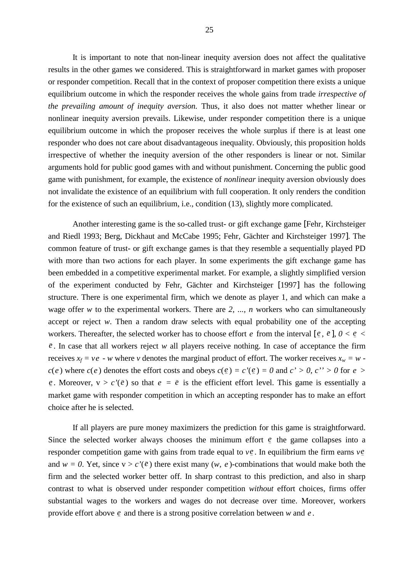It is important to note that non-linear inequity aversion does not affect the qualitative results in the other games we considered. This is straightforward in market games with proposer or responder competition. Recall that in the context of proposer competition there exists a unique equilibrium outcome in which the responder receives the whole gains from trade *irrespective of the prevailing amount of inequity aversion.* Thus, it also does not matter whether linear or nonlinear inequity aversion prevails. Likewise, under responder competition there is a unique equilibrium outcome in which the proposer receives the whole surplus if there is at least one responder who does not care about disadvantageous inequality. Obviously, this proposition holds irrespective of whether the inequity aversion of the other responders is linear or not. Similar arguments hold for public good games with and without punishment. Concerning the public good game with punishment, for example, the existence of *nonlinear* inequity aversion obviously does not invalidate the existence of an equilibrium with full cooperation. It only renders the condition for the existence of such an equilibrium, i.e., condition (13), slightly more complicated.

Another interesting game is the so-called trust- or gift exchange game [Fehr, Kirchsteiger and Riedl 1993; Berg, Dickhaut and McCabe 1995; Fehr, Gächter and Kirchsteiger 1997]. The common feature of trust- or gift exchange games is that they resemble a sequentially played PD with more than two actions for each player. In some experiments the gift exchange game has been embedded in a competitive experimental market. For example, a slightly simplified version of the experiment conducted by Fehr, Gächter and Kirchsteiger [1997] has the following structure. There is one experimental firm, which we denote as player 1, and which can make a wage offer *w* to the experimental workers. There are 2, ..., *n* workers who can simultaneously accept or reject *w*. Then a random draw selects with equal probability one of the accepting workers. Thereafter, the selected worker has to choose effort *e* from the interval [ $e$ ,  $\bar{e}$ ],  $0 < e <$  $\overline{e}$ . In case that all workers reject *w* all players receive nothing. In case of acceptance the firm receives  $x_f = v_e - w$  where *v* denotes the marginal product of effort. The worker receives  $x_w = w - w$ *c*(*e*) where *c*(*e*) denotes the effort costs and obeys  $c(\underline{e}) = c'(\underline{e}) = 0$  and  $c' > 0$ ,  $c'' > 0$  for  $e > 0$ *e*. Moreover,  $v > c'(\overline{e})$  so that  $e = \overline{e}$  is the efficient effort level. This game is essentially a market game with responder competition in which an accepting responder has to make an effort choice after he is selected.

If all players are pure money maximizers the prediction for this game is straightforward. Since the selected worker always chooses the minimum effort  $\epsilon$  the game collapses into a responder competition game with gains from trade equal to  $v \cdot \ell$ . In equilibrium the firm earns  $v \cdot \ell$ and  $w = 0$ . Yet, since  $v > c'(\overline{e})$  there exist many (*w, e*)-combinations that would make both the firm and the selected worker better off. In sharp contrast to this prediction, and also in sharp contrast to what is observed under responder competition *without* effort choices, firms offer substantial wages to the workers and wages do not decrease over time. Moreover, workers provide effort above *e\_* and there is a strong positive correlation between *w* and *e* .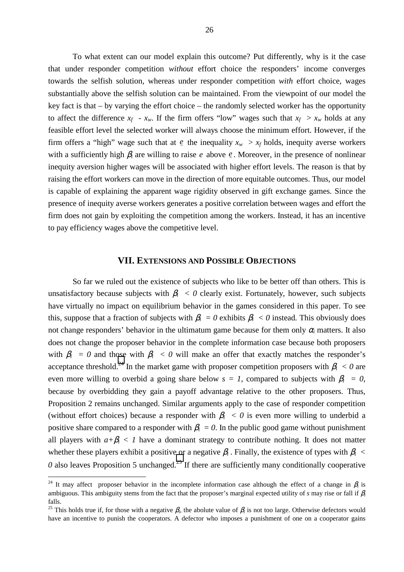To what extent can our model explain this outcome? Put differently, why is it the case that under responder competition *without* effort choice the responders' income converges towards the selfish solution, whereas under responder competition *with* effort choice, wages substantially above the selfish solution can be maintained. From the viewpoint of our model the key fact is that – by varying the effort choice – the randomly selected worker has the opportunity to affect the difference  $x_f - x_w$ . If the firm offers "low" wages such that  $x_f > x_w$  holds at any feasible effort level the selected worker will always choose the minimum effort. However, if the firm offers a "high" wage such that at  $\epsilon$  the inequality  $x_w > x_f$  holds, inequity averse workers with a sufficiently high  $\beta_i$  are willing to raise *e* above *e*. Moreover, in the presence of nonlinear inequity aversion higher wages will be associated with higher effort levels. The reason is that by raising the effort workers can move in the direction of more equitable outcomes. Thus, our model is capable of explaining the apparent wage rigidity observed in gift exchange games. Since the presence of inequity averse workers generates a positive correlation between wages and effort the firm does not gain by exploiting the competition among the workers. Instead, it has an incentive to pay efficiency wages above the competitive level.

#### **VII. EXTENSIONS AND POSSIBLE OBJECTIONS**

So far we ruled out the existence of subjects who like to be better off than others. This is unsatisfactory because subjects with  $\beta$ <sub>*i</sub>* < 0 clearly exist. Fortunately, however, such subjects</sub> have virtually no impact on equilibrium behavior in the games considered in this paper. To see this, suppose that a fraction of subjects with  $\beta_i = 0$  exhibits  $\beta_i < 0$  instead. This obviously does not change responders' behavior in the ultimatum game because for them only  $\alpha_i$  matters. It also does not change the proposer behavior in the complete information case because both proposers with  $\beta_i = 0$  and those with  $\beta_i < 0$  will make an offer that exactly matches the responder's acceptance threshold.<sup>24</sup> In the market game with proposer competition proposers with  $\beta_i < 0$  are even more willing to overbid a going share below  $s = 1$ , compared to subjects with  $\beta_i = 0$ , because by overbidding they gain a payoff advantage relative to the other proposers. Thus, Proposition 2 remains unchanged. Similar arguments apply to the case of responder competition (without effort choices) because a responder with  $\beta$ <sub>*i*</sub> < 0 is even more willing to underbid a positive share compared to a responder with  $\beta_i = 0$ . In the public good game without punishment all players with  $a+\beta_i < 1$  have a dominant strategy to contribute nothing. It does not matter whether these players exhibit a positive or a negative  $\beta_i$ . Finally, the existence of types with  $\beta_i$  < *0* also leaves Proposition 5 unchanged.<sup>25</sup> If there are sufficiently many conditionally cooperative

<sup>&</sup>lt;sup>24</sup> It may affect proposer behavior in the incomplete information case although the effect of a change in  $\beta_i$  is ambiguous. This ambiguity stems from the fact that the proposer's marginal expected utility of *s* may rise or fall if β*<sup>i</sup>* falls.

<sup>&</sup>lt;sup>25</sup> This holds true if, for those with a negative  $\beta_i$ , the abolute value of  $\beta_i$  is not too large. Otherwise defectors would have an incentive to punish the cooperators. A defector who imposes a punishment of one on a cooperator gains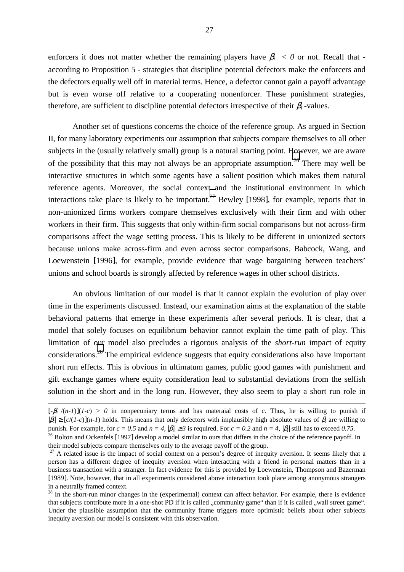enforcers it does not matter whether the remaining players have  $\beta_i < 0$  or not. Recall that according to Proposition 5 - strategies that discipline potential defectors make the enforcers and the defectors equally well off in material terms. Hence, a defector cannot gain a payoff advantage but is even worse off relative to a cooperating nonenforcer. These punishment strategies, therefore, are sufficient to discipline potential defectors irrespective of their  $\beta_i$ -values.

Another set of questions concerns the choice of the reference group. As argued in Section II, for many laboratory experiments our assumption that subjects compare themselves to all other subjects in the (usually relatively small) group is a natural starting point. However, we are aware of the possibility that this may not always be an appropriate assumption.<sup>26</sup> There may well be interactive structures in which some agents have a salient position which makes them natural reference agents. Moreover, the social context and the institutional environment in which interactions take place is likely to be important.<sup>27</sup> Bewley [1998], for example, reports that in non-unionized firms workers compare themselves exclusively with their firm and with other workers in their firm. This suggests that only within-firm social comparisons but not across-firm comparisons affect the wage setting process. This is likely to be different in unionized sectors because unions make across-firm and even across sector comparisons. Babcock, Wang, and Loewenstein [1996], for example, provide evidence that wage bargaining between teachers' unions and school boards is strongly affected by reference wages in other school districts.

An obvious limitation of our model is that it cannot explain the evolution of play over time in the experiments discussed. Instead, our examination aims at the explanation of the stable behavioral patterns that emerge in these experiments after several periods. It is clear, that a model that solely focuses on equilibrium behavior cannot explain the time path of play. This limitation of our model also precludes a rigorous analysis of the *short-run* impact of equity considerations.28 The empirical evidence suggests that equity considerations also have important short run effects. This is obvious in ultimatum games, public good games with punishment and gift exchange games where equity consideration lead to substantial deviations from the selfish solution in the short and in the long run. However, they also seem to play a short run role in

 $[-\beta$ <sup>i</sup>  $/(n-1)](1-c) > 0$  in nonpecuniary terms and has materaial costs of *c*. Thus, he is willing to punish if  $|\beta_i| \geq [c/(1-c)](n-l)$  holds. This means that only defectors with implausibly high absolute values of  $\beta_i$  are willing to punish. For example, for  $c = 0.5$  and  $n = 4$ ,  $|\beta_i| \ge 3$  is required. For  $c = 0.2$  and  $n = 4$ ,  $|\beta_i|$  still has to exceed 0.75.

 $26$  Bolton and Ockenfels [1997] develop a model similar to ours that differs in the choice of the reference payoff. In their model subjects compare themselves only to the average payoff of the group.

 $27$  A related issue is the impact of social context on a person's degree of inequity aversion. It seems likely that a person has a different degree of inequity aversion when interacting with a friend in personal matters than in a business transaction with a stranger. In fact evidence for this is provided by Loewenstein, Thompson and Bazerman [1989]. Note, however, that in all experiments considered above interaction took place among anonymous strangers in a neutrally framed context.

<sup>&</sup>lt;sup>28</sup> In the short-run minor changes in the (experimental) context can affect behavior. For example, there is evidence that subjects contribute more in a one-shot PD if it is called ..community game" than if it is called ..wall street game". Under the plausible assumption that the community frame triggers more optimistic beliefs about other subjects inequity aversion our model is consistent with this observation.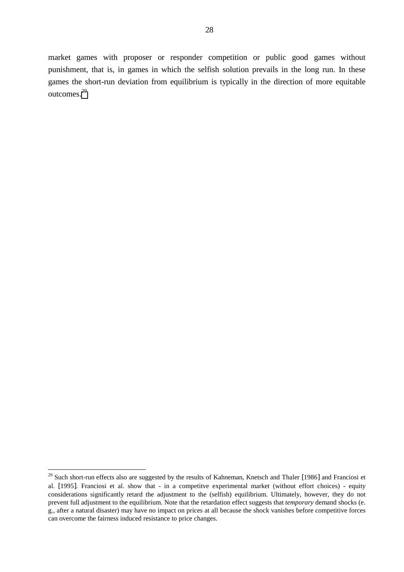<sup>&</sup>lt;sup>29</sup> Such short-run effects also are suggested by the results of Kahneman, Knetsch and Thaler [1986] and Franciosi et al. [1995]. Franciosi et al. show that - in a competitve experimental market (without effort choices) - equity considerations significantly retard the adjustment to the (selfish) equilibrium. Ultimately, however, they do not prevent full adjustment to the equilibrium. Note that the retardation effect suggests that *temporary* demand shocks (e. g., after a natural disaster) may have no impact on prices at all because the shock vanishes before competitive forces can overcome the fairness induced resistance to price changes.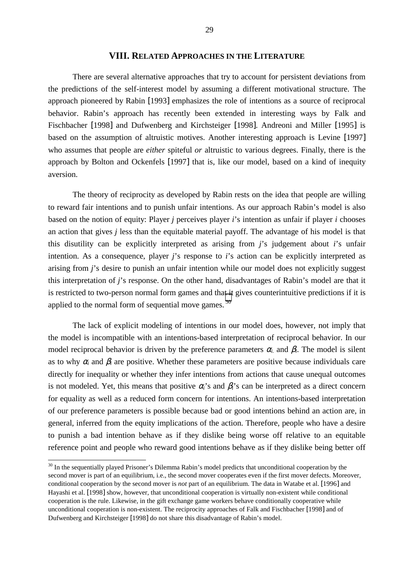#### **VIII. RELATED APPROACHES IN THE LITERATURE**

There are several alternative approaches that try to account for persistent deviations from the predictions of the self-interest model by assuming a different motivational structure. The approach pioneered by Rabin [1993] emphasizes the role of intentions as a source of reciprocal behavior. Rabin's approach has recently been extended in interesting ways by Falk and Fischbacher [1998] and Dufwenberg and Kirchsteiger [1998]. Andreoni and Miller [1995] is based on the assumption of altruistic motives. Another interesting approach is Levine [1997] who assumes that people are *either* spiteful *or* altruistic to various degrees. Finally, there is the approach by Bolton and Ockenfels [1997] that is, like our model, based on a kind of inequity aversion.

The theory of reciprocity as developed by Rabin rests on the idea that people are willing to reward fair intentions and to punish unfair intentions. As our approach Rabin's model is also based on the notion of equity: Player *j* perceives player *i*'s intention as unfair if player *i* chooses an action that gives *j* less than the equitable material payoff. The advantage of his model is that this disutility can be explicitly interpreted as arising from *j*'s judgement about *i*'s unfair intention. As a consequence, player *j*'s response to *i*'s action can be explicitly interpreted as arising from *j*'s desire to punish an unfair intention while our model does not explicitly suggest this interpretation of *j*'s response. On the other hand, disadvantages of Rabin's model are that it is restricted to two-person normal form games and that it gives counterintuitive predictions if it is applied to the normal form of sequential move games.<sup>30</sup>

The lack of explicit modeling of intentions in our model does, however, not imply that the model is incompatible with an intentions-based interpretation of reciprocal behavior. In our model reciprocal behavior is driven by the preference parameters  $\alpha_i$  and  $\beta_i$ . The model is silent as to why  $\alpha_i$  and  $\beta_i$  are positive. Whether these parameters are positive because individuals care directly for inequality or whether they infer intentions from actions that cause unequal outcomes is not modeled. Yet, this means that positive  $\alpha_i$ 's and  $\beta_i$ 's can be interpreted as a direct concern for equality as well as a reduced form concern for intentions. An intentions-based interpretation of our preference parameters is possible because bad or good intentions behind an action are, in general, inferred from the equity implications of the action. Therefore, people who have a desire to punish a bad intention behave as if they dislike being worse off relative to an equitable reference point and people who reward good intentions behave as if they dislike being better off

<sup>&</sup>lt;sup>30</sup> In the sequentially played Prisoner's Dilemma Rabin's model predicts that unconditional cooperation by the second mover is part of an equilibrium, i.e., the second mover cooperates even if the first mover defects. Moreover, conditional cooperation by the second mover is *not* part of an equilibrium. The data in Watabe et al. [1996] and Hayashi et al. [1998] show, however, that unconditional cooperation is virtually non-existent while conditional cooperation is the rule. Likewise, in the gift exchange game workers behave conditionally cooperative while unconditional cooperation is non-existent. The reciprocity approaches of Falk and Fischbacher [1998] and of Dufwenberg and Kirchsteiger [1998] do not share this disadvantage of Rabin's model.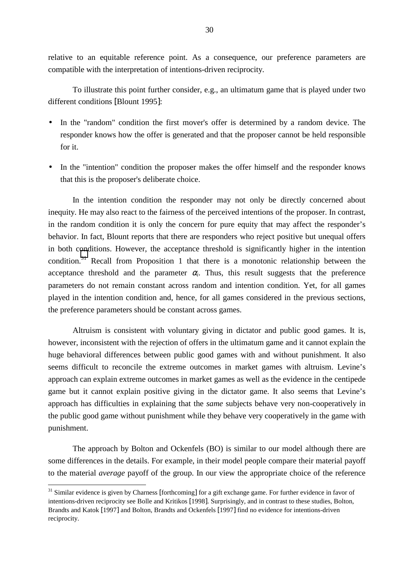relative to an equitable reference point. As a consequence, our preference parameters are compatible with the interpretation of intentions-driven reciprocity.

To illustrate this point further consider, e.g., an ultimatum game that is played under two different conditions [Blount 1995]:

- In the "random" condition the first mover's offer is determined by a random device. The responder knows how the offer is generated and that the proposer cannot be held responsible for it.
- In the "intention" condition the proposer makes the offer himself and the responder knows that this is the proposer's deliberate choice.

In the intention condition the responder may not only be directly concerned about inequity. He may also react to the fairness of the perceived intentions of the proposer. In contrast, in the random condition it is only the concern for pure equity that may affect the responder's behavior. In fact, Blount reports that there are responders who reject positive but unequal offers in both conditions. However, the acceptance threshold is significantly higher in the intention condition.31 Recall from Proposition 1 that there is a monotonic relationship between the acceptance threshold and the parameter  $\alpha_i$ . Thus, this result suggests that the preference parameters do not remain constant across random and intention condition. Yet, for all games played in the intention condition and, hence, for all games considered in the previous sections, the preference parameters should be constant across games.

Altruism is consistent with voluntary giving in dictator and public good games. It is, however, inconsistent with the rejection of offers in the ultimatum game and it cannot explain the huge behavioral differences between public good games with and without punishment. It also seems difficult to reconcile the extreme outcomes in market games with altruism. Levine's approach can explain extreme outcomes in market games as well as the evidence in the centipede game but it cannot explain positive giving in the dictator game. It also seems that Levine's approach has difficulties in explaining that the *same* subjects behave very non-cooperatively in the public good game without punishment while they behave very cooperatively in the game with punishment.

The approach by Bolton and Ockenfels (BO) is similar to our model although there are some differences in the details. For example, in their model people compare their material payoff to the material *average* payoff of the group. In our view the appropriate choice of the reference

<sup>&</sup>lt;sup>31</sup> Similar evidence is given by Charness [forthcoming] for a gift exchange game. For further evidence in favor of intentions-driven reciprocity see Bolle and Kritikos [1998]. Surprisingly, and in contrast to these studies, Bolton, Brandts and Katok [1997] and Bolton, Brandts and Ockenfels [1997] find no evidence for intentions-driven reciprocity.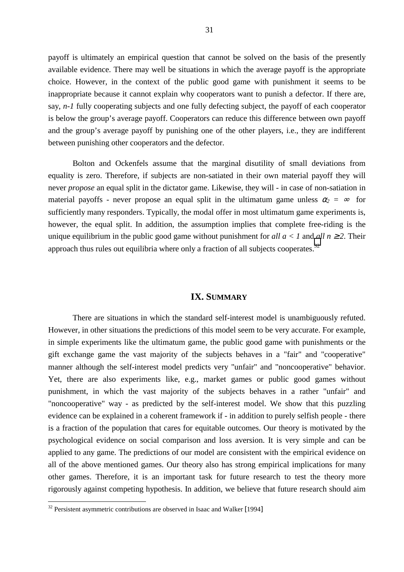payoff is ultimately an empirical question that cannot be solved on the basis of the presently available evidence. There may well be situations in which the average payoff is the appropriate choice. However, in the context of the public good game with punishment it seems to be inappropriate because it cannot explain why cooperators want to punish a defector. If there are, say, *n-1* fully cooperating subjects and one fully defecting subject, the payoff of each cooperator is below the group's average payoff. Cooperators can reduce this difference between own payoff and the group's average payoff by punishing one of the other players, i.e., they are indifferent between punishing other cooperators and the defector.

Bolton and Ockenfels assume that the marginal disutility of small deviations from equality is zero. Therefore, if subjects are non-satiated in their own material payoff they will never *propose* an equal split in the dictator game. Likewise, they will - in case of non-satiation in material payoffs - never propose an equal split in the ultimatum game unless  $\alpha_2 = \infty$  for sufficiently many responders. Typically, the modal offer in most ultimatum game experiments is, however, the equal split. In addition, the assumption implies that complete free-riding is the unique equilibrium in the public good game without punishment for *all*  $a < 1$  and *all*  $n \ge 2$ . Their approach thus rules out equilibria where only a fraction of all subjects cooperates.<sup>32</sup>

#### **IX. SUMMARY**

There are situations in which the standard self-interest model is unambiguously refuted. However, in other situations the predictions of this model seem to be very accurate. For example, in simple experiments like the ultimatum game, the public good game with punishments or the gift exchange game the vast majority of the subjects behaves in a "fair" and "cooperative" manner although the self-interest model predicts very "unfair" and "noncooperative" behavior. Yet, there are also experiments like, e.g., market games or public good games without punishment, in which the vast majority of the subjects behaves in a rather "unfair" and "noncooperative" way - as predicted by the self-interest model. We show that this puzzling evidence can be explained in a coherent framework if - in addition to purely selfish people - there is a fraction of the population that cares for equitable outcomes. Our theory is motivated by the psychological evidence on social comparison and loss aversion. It is very simple and can be applied to any game. The predictions of our model are consistent with the empirical evidence on all of the above mentioned games. Our theory also has strong empirical implications for many other games. Therefore, it is an important task for future research to test the theory more rigorously against competing hypothesis. In addition, we believe that future research should aim

 $32$  Persistent asymmetric contributions are observed in Isaac and Walker [1994]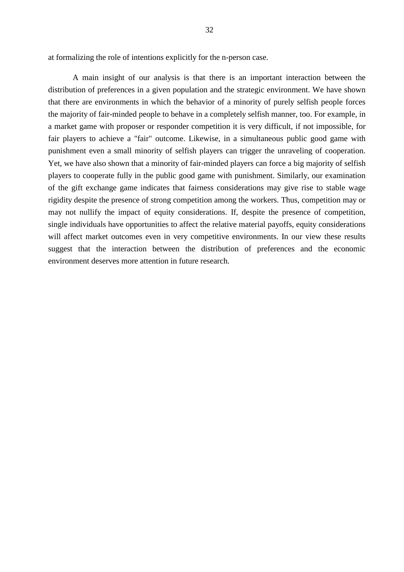at formalizing the role of intentions explicitly for the n-person case.

A main insight of our analysis is that there is an important interaction between the distribution of preferences in a given population and the strategic environment. We have shown that there are environments in which the behavior of a minority of purely selfish people forces the majority of fair-minded people to behave in a completely selfish manner, too. For example, in a market game with proposer or responder competition it is very difficult, if not impossible, for fair players to achieve a "fair" outcome. Likewise, in a simultaneous public good game with punishment even a small minority of selfish players can trigger the unraveling of cooperation. Yet, we have also shown that a minority of fair-minded players can force a big majority of selfish players to cooperate fully in the public good game with punishment. Similarly, our examination of the gift exchange game indicates that fairness considerations may give rise to stable wage rigidity despite the presence of strong competition among the workers. Thus, competition may or may not nullify the impact of equity considerations. If, despite the presence of competition, single individuals have opportunities to affect the relative material payoffs, equity considerations will affect market outcomes even in very competitive environments. In our view these results suggest that the interaction between the distribution of preferences and the economic environment deserves more attention in future research.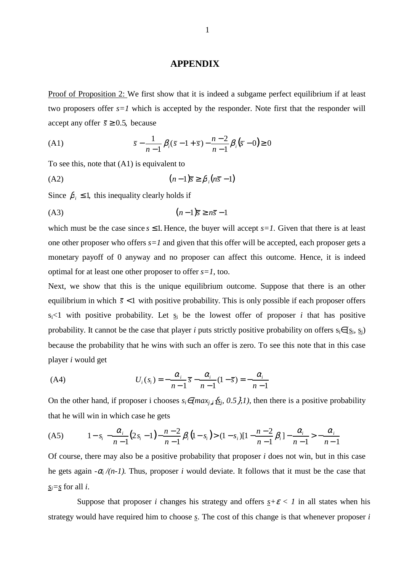#### **APPENDIX**

Proof of Proposition 2: We first show that it is indeed a subgame perfect equilibrium if at least two proposers offer *s=1* which is accepted by the responder. Note first that the responder will accept any offer  $\bar{s} \ge 0.5$ , because

(A1) 
$$
\overline{s} - \frac{1}{n-1} \beta_i (\overline{s} - 1 + \overline{s}) - \frac{n-2}{n-1} \beta_i (\overline{s} - 0) \ge 0
$$

To see this, note that (A1) is equivalent to

$$
(A2) \qquad (n-1)\overline{s} \ge \beta_i(n\overline{s}-1)
$$

Since  $\beta_i \leq 1$ , this inequality clearly holds if

$$
(A3) \qquad (n-1)\overline{s} \ge n\overline{s} - 1
$$

which must be the case since  $s \le 1$ . Hence, the buyer will accept  $s = 1$ . Given that there is at least one other proposer who offers *s=1* and given that this offer will be accepted, each proposer gets a monetary payoff of 0 anyway and no proposer can affect this outcome. Hence, it is indeed optimal for at least one other proposer to offer *s=1*, too.

Next, we show that this is the unique equilibrium outcome. Suppose that there is an other equilibrium in which  $\bar{s}$  <1 with positive probability. This is only possible if each proposer offers  $s_i$ <1 with positive probability. Let  $s_i$  be the lowest offer of proposer *i* that has positive probability. It cannot be the case that player *i* puts strictly positive probability on offers  $s_i \in [s_i, s_j)$ because the probability that he wins with such an offer is zero. To see this note that in this case player *i* would get

$$
(A4) \tUi(si) = -\frac{\alpha_i}{n-1}\overline{s} - \frac{\alpha_i}{n-1}(1-\overline{s}) = -\frac{\alpha_i}{n-1}
$$

On the other hand, if proposer i chooses  $s_i \in (max_{i \neq j} \{S_i, 0.5\}, I)$ , then there is a positive probability that he will win in which case he gets

$$
(A5) \qquad 1 - s_i - \frac{\alpha_i}{n-1} \left( 2s_i - 1 \right) - \frac{n-2}{n-1} \beta_i \left( 1 - s_i \right) > (1 - s_i) \left[ 1 - \frac{n-2}{n-1} \beta_i \right] - \frac{\alpha_i}{n-1} > -\frac{\alpha_i}{n-1}
$$

Of course, there may also be a positive probability that proposer *i* does not win, but in this case he gets again  $-\alpha$ <sub>i</sub> /(n-1). Thus, proposer *i* would deviate. It follows that it must be the case that *si=s* for all *i*.

Suppose that proposer *i* changes his strategy and offers  $s+\varepsilon < 1$  in all states when his strategy would have required him to choose *s*. The cost of this change is that whenever proposer *i*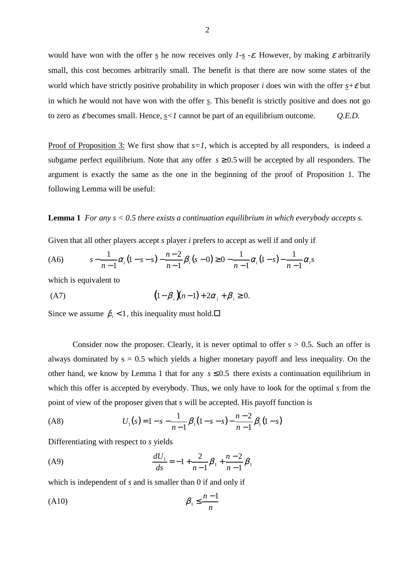would have won with the offer s he now receives only  $1-s$  - $\varepsilon$ . However, by making  $\varepsilon$  arbitrarily small, this cost becomes arbitrarily small. The benefit is that there are now some states of the world which have strictly positive probability in which proposer *i* does win with the offer *s+*ε but in which he would not have won with the offer *s*. This benefit is strictly positive and does not go to zero as  $\varepsilon$  becomes small. Hence,  $s < l$  cannot be part of an equilibrium outcome.  $Q.E.D.$ 

Proof of Proposition 3: We first show that  $s=1$ , which is accepted by all responders, is indeed a subgame perfect equilibrium. Note that any offer  $s \ge 0.5$  will be accepted by all responders. The argument is exactly the same as the one in the beginning of the proof of Proposition 1. The following Lemma will be useful:

#### **Lemma 1** *For any s < 0.5 there exists a continuation equilibrium in which everybody accepts s.*

Given that all other players accept *s* player *i* prefers to accept as well if and only if

$$
(A6) \qquad s - \frac{1}{n-1}\alpha_i(1-s-s) - \frac{n-2}{n-1}\beta_i(s-0) \ge 0 - \frac{1}{n-1}\alpha_i(1-s) - \frac{1}{n-1}\alpha_i s
$$

which is equivalent to

$$
(A7) \qquad (1 - \beta_i)(n - 1) + 2\alpha_i + \beta_i \ge 0.
$$

Since we assume  $\beta_i$  < 1, this inequality must hold.  $\Box$ 

Consider now the proposer. Clearly, it is never optimal to offer  $s > 0.5$ . Such an offer is always dominated by  $s = 0.5$  which yields a higher monetary payoff and less inequality. On the other hand, we know by Lemma 1 that for any  $s \le 0.5$  there exists a continuation equilibrium in which this offer is accepted by everybody. Thus, we only have to look for the optimal *s* from the point of view of the proposer given that *s* will be accepted. His payoff function is

$$
(A8) \tU_1(s) = 1 - s - \frac{1}{n-1}\beta_1(1-s-s) - \frac{n-2}{n-1}\beta_1(1-s)
$$

Differentiating with respect to *s* yields

(A9) 
$$
\frac{dU_1}{ds} = -1 + \frac{2}{n-1}\beta_1 + \frac{n-2}{n-1}\beta_1
$$

which is independent of *s* and is smaller than 0 if and only if

$$
\beta_1 \le \frac{n-1}{n}
$$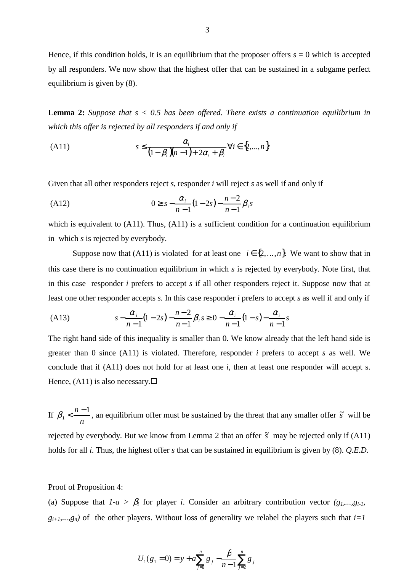Hence, if this condition holds, it is an equilibrium that the proposer offers  $s = 0$  which is accepted by all responders. We now show that the highest offer that can be sustained in a subgame perfect equilibrium is given by (8).

**Lemma 2:** *Suppose that s < 0.5 has been offered. There exists a continuation equilibrium in which this offer is rejected by all responders if and only if*

$$
(A11) \t s \leq \frac{\alpha_i}{(1-\beta_i)(n-1)+2\alpha_i+\beta_i} \forall i \in \{2,...,n\}
$$

Given that all other responders reject *s*, responder *i* will reject *s* as well if and only if

(A12) 
$$
0 \ge s - \frac{\alpha_i}{n-1} (1-2s) - \frac{n-2}{n-1} \beta_i s
$$

which is equivalent to  $(A11)$ . Thus,  $(A11)$  is a sufficient condition for a continuation equilibrium in which *s* is rejected by everybody.

Suppose now that (A11) is violated for at least one  $i \in \{2,...,n\}$ . We want to show that in this case there is no continuation equilibrium in which *s* is rejected by everybody. Note first, that in this case responder *i* prefers to accept *s* if all other responders reject it. Suppose now that at least one other responder accepts *s.* In this case responder *i* prefers to accept *s* as well if and only if

(A13) 
$$
s - \frac{\alpha_i}{n-1} (1-2s) - \frac{n-2}{n-1} \beta_i s \ge 0 - \frac{\alpha_i}{n-1} (1-s) - \frac{\alpha_i}{n-1} s
$$

The right hand side of this inequality is smaller than 0. We know already that the left hand side is greater than 0 since (A11) is violated. Therefore, responder *i* prefers to accept *s* as well. We conclude that if (A11) does not hold for at least one *i*, then at least one responder will accept s. Hence,  $(A11)$  is also necessary.  $\square$ 

If  $\beta_{_1}$ 1  $\lt$ *n* − *n* , an equilibrium offer must be sustained by the threat that any smaller offer  $\tilde{s}$  will be rejected by everybody. But we know from Lemma 2 that an offer  $\tilde{s}$  may be rejected only if (A11) holds for all *i*. Thus, the highest offer *s* that can be sustained in equilibrium is given by (8). *Q.E.D.*

#### Proof of Proposition 4:

(a) Suppose that  $1-a > \beta_i$  for player *i*. Consider an arbitrary contribution vector  $(g_1,...,g_{i-1})$  $g_{i+1},...,g_n$  of the other players. Without loss of generality we relabel the players such that  $i=1$ 

$$
U_1(g_1 = 0) = y + a \sum_{j=2}^{n} g_j - \frac{\beta}{n-1} \sum_{j=2}^{n} g_j
$$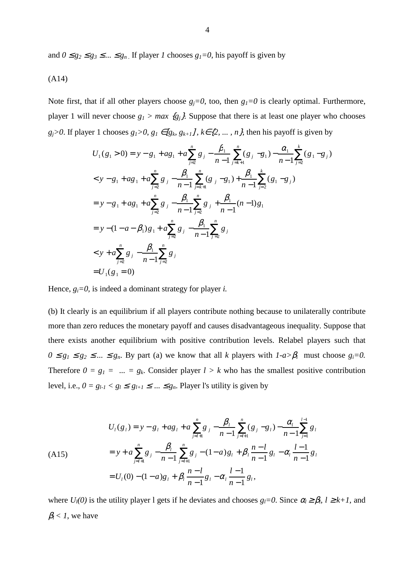and  $0 \le g_2 \le g_3 \le \dots \le g_n$ . If player *1* chooses  $g_1 = 0$ , his payoff is given by

$$
(A14)
$$

Note first, that if all other players choose  $g_i=0$ , too, then  $g_i=0$  is clearly optimal. Furthermore, player 1 will never choose  $g_1 > max$  { $g_j$ }. Suppose that there is at least one player who chooses  $g_i>0$ . If player 1 chooses  $g_i>0$ ,  $g_i \in [g_k, g_{k+1}]$ ,  $k \in \{2, ..., n\}$ , then his payoff is given by

$$
U_{1}(g_{1} > 0) = y - g_{1} + ag_{1} + a \sum_{j=2}^{n} g_{j} - \frac{\beta_{1}}{n-1} \sum_{j=k+1}^{n} (g_{j} - g_{1}) - \frac{\alpha_{1}}{n-1} \sum_{j=2}^{k} (g_{1} - g_{j})
$$
  

$$
< y - g_{1} + ag_{1} + a \sum_{j=2}^{n} g_{j} - \frac{\beta_{1}}{n-1} \sum_{j=k+1}^{n} (g_{j} - g_{1}) + \frac{\beta_{1}}{n-1} \sum_{j=2}^{k} (g_{1} - g_{j})
$$
  

$$
= y - g_{1} + ag_{1} + a \sum_{j=2}^{n} g_{j} - \frac{\beta_{1}}{n-1} \sum_{j=2}^{n} g_{j} + \frac{\beta_{1}}{n-1} (n-1) g_{1}
$$
  

$$
= y - (1 - a - \beta_{1}) g_{1} + a \sum_{j=2}^{n} g_{j} - \frac{\beta_{1}}{n-1} \sum_{j=2}^{n} g_{j}
$$
  

$$
< y + a \sum_{j=2}^{n} g_{j} - \frac{\beta_{1}}{n-1} \sum_{j=2}^{n} g_{j}
$$
  

$$
= U_{1}(g_{1} = 0)
$$

Hence,  $g_i=0$ , is indeed a dominant strategy for player *i*.

(b) It clearly is an equilibrium if all players contribute nothing because to unilaterally contribute more than zero reduces the monetary payoff and causes disadvantageous inequality. Suppose that there exists another equilibrium with positive contribution levels. Relabel players such that *0* ≤  $g_1$  ≤  $g_2$  ≤ ... ≤  $g_n$ . By part (a) we know that all *k* players with *1-a>* $\beta_i$  must choose  $g_i=0$ . Therefore  $0 = g_1 = ... = g_k$ . Consider player  $l > k$  who has the smallest positive contribution level, i.e.,  $0 = g_{l-1} < g_l \le g_{l+1} \le ... \le g_n$ . Player I's utility is given by

$$
U_{l}(g_{l}) = y - g_{l} + ag_{l} + a \sum_{j=l+1}^{n} g_{j} - \frac{\beta_{l}}{n-1} \sum_{j=l+1}^{n} (g_{j} - g_{l}) - \frac{\alpha_{l}}{n-1} \sum_{j=1}^{l-1} g_{l}
$$
  
\n
$$
= y + a \sum_{j=l+1}^{n} g_{j} - \frac{\beta_{l}}{n-1} \sum_{j=l+1}^{n} g_{j} - (1-a)g_{l} + \beta_{l} \frac{n-l}{n-1} g_{l} - \alpha_{l} \frac{l-1}{n-1} g_{l}
$$
  
\n
$$
= U_{l}(0) - (1-a)g_{l} + \beta_{l} \frac{n-l}{n-1} g_{l} - \alpha_{l} \frac{l-1}{n-1} g_{l},
$$

where  $U_l(0)$  is the utility player 1 gets if he deviates and chooses  $g_l=0$ . Since  $\alpha_l \geq \beta_l$ ,  $l \geq k+1$ , and  $\beta_l < 1$ , we have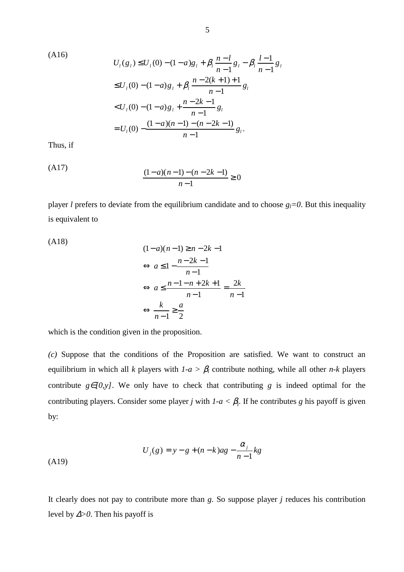(A16)  
\n
$$
U_{l}(g_{l}) \leq U_{l}(0) - (1-a)g_{l} + \beta_{l} \frac{n-l}{n-1} g_{l} - \beta_{l} \frac{l-1}{n-1} g_{l}
$$
\n
$$
\leq U_{l}(0) - (1-a)g_{l} + \beta_{l} \frac{n-2(k+1)+1}{n-1} g_{l}
$$
\n
$$
< U_{l}(0) - (1-a)g_{l} + \frac{n-2k-1}{n-1} g_{l}
$$
\n
$$
= U_{l}(0) - \frac{(1-a)(n-1) - (n-2k-1)}{n-1} g_{l}.
$$

Thus, if

(A17) 
$$
\frac{(1-a)(n-1)-(n-2k-1)}{n-1} \ge 0
$$

player *l* prefers to deviate from the equilibrium candidate and to choose  $g_l = 0$ . But this inequality is equivalent to

$$
(A18)
$$
\n
$$
(1-a)(n-1) \ge n-2k-1
$$
\n
$$
\Leftrightarrow a \le 1 - \frac{n-2k-1}{n-1}
$$
\n
$$
\Leftrightarrow a \le \frac{n-1-n+2k+1}{n-1} = \frac{2k}{n-1}
$$
\n
$$
\Leftrightarrow \frac{k}{n-1} \ge \frac{a}{2}
$$

which is the condition given in the proposition.

*(c)* Suppose that the conditions of the Proposition are satisfied. We want to construct an equilibrium in which all *k* players with  $1-a > \beta$ <sub>i</sub> contribute nothing, while all other *n-k* players contribute *g*∈*[0,y]*. We only have to check that contributing *g* is indeed optimal for the contributing players. Consider some player *j* with  $1-a < \beta$ . If he contributes *g* his payoff is given by:

$$
U_j(g) = y - g + (n - k)ag - \frac{\alpha_j}{n - 1}kg
$$
\n(A19)

It clearly does not pay to contribute more than *g*. So suppose player *j* reduces his contribution level by ∆*>0*. Then his payoff is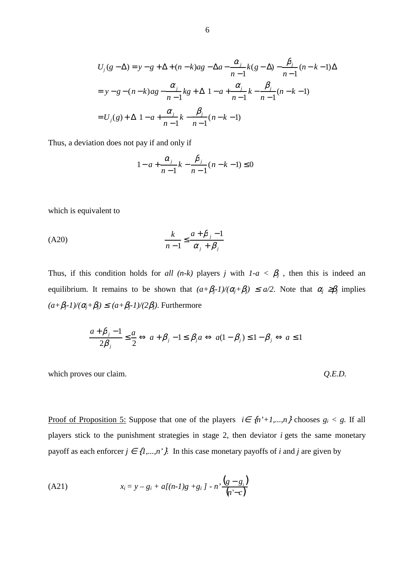$$
U_j(g - \Delta) = y - g + \Delta + (n - k)ag - \Delta a - \frac{\alpha_j}{n - 1}k(g - \Delta) - \frac{\beta_j}{n - 1}(n - k - 1)\Delta
$$
  
=  $y - g - (n - k)ag - \frac{\alpha_j}{n - 1}kg + \Delta \left(1 - a + \frac{\alpha_j}{n - 1}k - \frac{\beta_j}{n - 1}(n - k - 1)\right)$   
=  $U_j(g) + \Delta \left(1 - a + \frac{\alpha_j}{n - 1}k - \frac{\beta_j}{n - 1}(n - k - 1)\right)$ 

Thus, a deviation does not pay if and only if

$$
1 - a + \frac{\alpha_j}{n-1}k - \frac{\beta_j}{n-1}(n-k-1) \le 0
$$

which is equivalent to

$$
(A20) \qquad \qquad \frac{k}{n-1} \le \frac{a+\beta_j-1}{\alpha_j+\beta_j}
$$

Thus, if this condition holds for *all*  $(n-k)$  players *j* with  $1-a < \beta_j$ , then this is indeed an equilibrium. It remains to be shown that  $(a+\beta_j-1)/(\alpha_j+\beta_j) \leq a/2$ . Note that  $\alpha_j \geq \beta_j$  implies *(a+*β*j-1)/(*α*j+*β*j)* ≤ *(a+*β*j-1)/(2*β*j)*. Furthermore

$$
\frac{a+\beta_j-1}{2\beta_j} \leq \frac{a}{2} \Leftrightarrow a+\beta_j-1 \leq \beta_j a \Leftrightarrow a(1-\beta_j) \leq 1-\beta_j \Leftrightarrow a \leq 1
$$

which proves our claim.  $Q.E.D.$ 

Proof of Proposition 5: Suppose that one of the players  $i \in \{n'+1,\ldots,n\}$  chooses  $g_i < g$ . If all players stick to the punishment strategies in stage 2, then deviator *i* gets the same monetary payoff as each enforcer  $j \in \{1,...,n\}$ *.* In this case monetary payoffs of *i* and *j* are given by

(A21) 
$$
x_i = y - g_i + a[(n-1)g + g_i] - n' \frac{(g - g_i)}{(n' - c)}
$$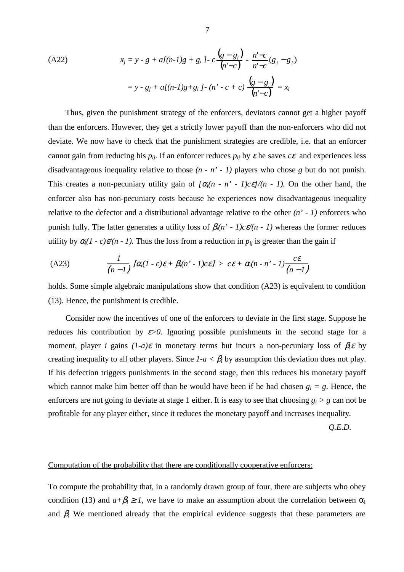(A22) 
$$
x_{j} = y - g + a[(n-1)g + g_{i}] - c\frac{(g - g_{i})}{(n - c)} - \frac{n' - c}{n' - c}(g_{i} - g_{i})
$$

$$
= y - g_{j} + a[(n-1)g + g_{i}] - (n' - c + c)\frac{(g - g_{i})}{(n' - c)} = x_{i}
$$

Thus, given the punishment strategy of the enforcers, deviators cannot get a higher payoff than the enforcers. However, they get a strictly lower payoff than the non-enforcers who did not deviate. We now have to check that the punishment strategies are credible, i.e. that an enforcer cannot gain from reducing his  $p_{ij}$ . If an enforcer reduces  $p_{ij}$  by  $\varepsilon$  he saves  $c\epsilon$  and experiences less disadvantageous inequality relative to those *(n - n' - 1)* players who chose *g* but do not punish. This creates a non-pecuniary utility gain of  $[\alpha_i(n - n' - 1)c\epsilon]/(n - 1)$ . On the other hand, the enforcer also has non-pecuniary costs because he experiences now disadvantageous inequality relative to the defector and a distributional advantage relative to the other *(n' - 1)* enforcers who punish fully. The latter generates a utility loss of  $\beta_i(n'-1)c\varepsilon/(n-1)$  whereas the former reduces utility by  $\alpha_i(1 - c)\epsilon/(n - 1)$ . Thus the loss from a reduction in  $p_{ii}$  is greater than the gain if

(A23) 
$$
\frac{1}{(n-1)} [\alpha_i (1-c) \varepsilon + \beta_i (n'-1) c \varepsilon] > c \varepsilon + \alpha_i (n-n'-1) \frac{c \varepsilon}{(n-1)}
$$

holds. Some simple algebraic manipulations show that condition (A23) is equivalent to condition (13). Hence, the punishment is credible.

Consider now the incentives of one of the enforcers to deviate in the first stage. Suppose he reduces his contribution by  $\varepsilon > 0$ . Ignoring possible punishments in the second stage for a moment, player *i* gains  $(1-a)\varepsilon$  in monetary terms but incurs a non-pecuniary loss of  $\beta_i \varepsilon$  by creating inequality to all other players. Since  $1-a < \beta_i$  by assumption this deviation does not play. If his defection triggers punishments in the second stage, then this reduces his monetary payoff which cannot make him better off than he would have been if he had chosen  $g_i = g$ . Hence, the enforcers are not going to deviate at stage 1 either. It is easy to see that choosing  $g_i > g$  can not be profitable for any player either, since it reduces the monetary payoff and increases inequality.

$$
Q.E.D.
$$

#### Computation of the probability that there are conditionally cooperative enforcers:

To compute the probability that, in a randomly drawn group of four, there are subjects who obey condition (13) and  $a+\beta_i \geq 1$ , we have to make an assumption about the correlation between  $\alpha_i$ and  $\beta$ <sub>i</sub> We mentioned already that the empirical evidence suggests that these parameters are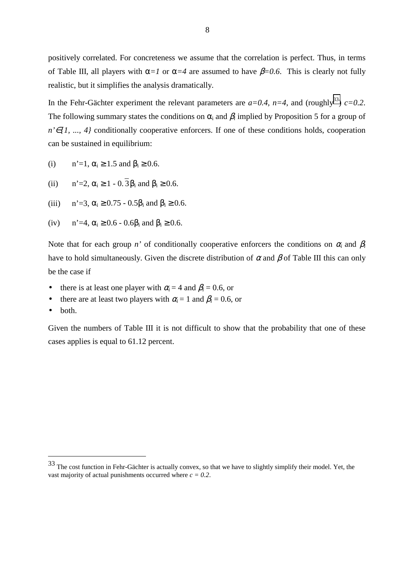positively correlated. For concreteness we assume that the correlation is perfect. Thus, in terms of Table III, all players with  $\alpha = 1$  or  $\alpha = 4$  are assumed to have  $\beta = 0.6$ . This is clearly not fully realistic, but it simplifies the analysis dramatically.

In the Fehr-Gächter experiment the relevant parameters are  $a=0.4$ ,  $n=4$ , and (roughly<sup>33</sup>)  $c=0.2$ . The following summary states the conditions on  $\alpha_i$  and  $\beta_i$  implied by Proposition 5 for a group of *n'∈{1, ..., 4}* conditionally cooperative enforcers. If one of these conditions holds, cooperation can be sustained in equilibrium:

- (i)  $n'=1, \alpha_i \ge 1.5$  and  $\beta_i \ge 0.6$ .
- (ii)  $n'=2, \alpha_i \ge 1 0.\overline{3}\beta_i$  and  $\beta_i \ge 0.6$ .
- (iii)  $n' = 3$ ,  $\alpha_i \ge 0.75 0.5\beta_i$  and  $\beta_i \ge 0.6$ .
- (iv)  $n'=4$ ,  $\alpha_i \ge 0.6 0.6\beta_i$  and  $\beta_i \ge 0.6$ .

Note that for each group *n'* of conditionally cooperative enforcers the conditions on  $\alpha_i$  and  $\beta_i$ have to hold simultaneously. Given the discrete distribution of  $\alpha$  and  $\beta$  of Table III this can only be the case if

- there is at least one player with  $\alpha_i = 4$  and  $\beta_i = 0.6$ , or
- there are at least two players with  $\alpha_i = 1$  and  $\beta_i = 0.6$ , or
- both.

 $\overline{a}$ 

Given the numbers of Table III it is not difficult to show that the probability that one of these cases applies is equal to 61.12 percent.

<sup>33</sup> The cost function in Fehr-Gächter is actually convex, so that we have to slightly simplify their model. Yet, the vast majority of actual punishments occurred where  $c = 0.2$ .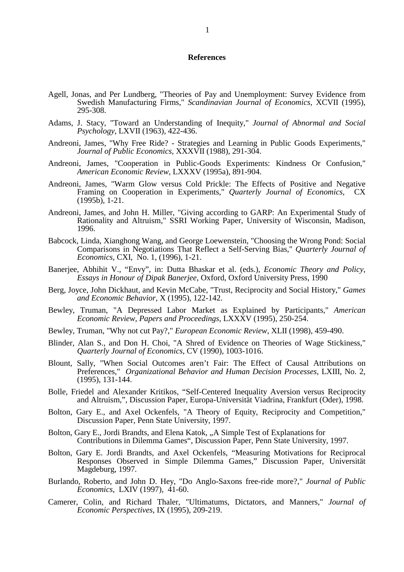#### **References**

- Agell, Jonas, and Per Lundberg, "Theories of Pay and Unemployment: Survey Evidence from Swedish Manufacturing Firms," *Scandinavian Journal of Economics*, XCVII (1995), 295-308.
- Adams, J. Stacy, "Toward an Understanding of Inequity," *Journal of Abnormal and Social Psychology*, LXVII (1963), 422-436.
- Andreoni, James, "Why Free Ride? Strategies and Learning in Public Goods Experiments," *Journal of Public Economics*, XXXVII (1988), 291-304.
- Andreoni, James, "Cooperation in Public-Goods Experiments: Kindness Or Confusion," *American Economic Review*, LXXXV (1995a), 891-904.
- Andreoni, James, "Warm Glow versus Cold Prickle: The Effects of Positive and Negative Framing on Cooperation in Experiments," *Quarterly Journal of Economics*, CX (1995b), 1-21.
- Andreoni, James, and John H. Miller, "Giving according to GARP: An Experimental Study of Rationality and Altruism," SSRI Working Paper, University of Wisconsin, Madison, 1996.
- Babcock, Linda, Xianghong Wang, and George Loewenstein, "Choosing the Wrong Pond: Social Comparisons in Negotiations That Reflect a Self-Serving Bias," *Quarterly Journal of Economics*, CXI, No. 1, (1996), 1-21.
- Banerjee, Abhihit V., "Envy", in: Dutta Bhaskar et al. (eds.), *Economic Theory and Policy*, *Essays in Honour of Dipak Banerjee*, Oxford, Oxford University Press, 1990
- Berg, Joyce, John Dickhaut, and Kevin McCabe, "Trust, Reciprocity and Social History," *Games and Economic Behavior*, X (1995), 122-142.
- Bewley, Truman, "A Depressed Labor Market as Explained by Participants," *American Economic Review, Papers and Proceedings*, LXXXV (1995), 250-254.
- Bewley, Truman, "Why not cut Pay?," *European Economic Review*, XLII (1998), 459-490.
- Blinder, Alan S., and Don H. Choi, "A Shred of Evidence on Theories of Wage Stickiness," *Quarterly Journal of Economics*, CV (1990), 1003-1016.
- Blount, Sally, "When Social Outcomes aren't Fair: The Effect of Causal Attributions on Preferences," *Organizational Behavior and Human Decision Processes*, LXIII, No. 2, (1995), 131-144.
- Bolle, Friedel and Alexander Kritikos, "Self-Centered Inequality Aversion versus Reciprocity and Altruism,", Discussion Paper, Europa-Universität Viadrina, Frankfurt (Oder), 1998.
- Bolton, Gary E., and Axel Ockenfels, "A Theory of Equity, Reciprocity and Competition," Discussion Paper, Penn State University, 1997.
- Bolton, Gary E., Jordi Brandts, and Elena Katok, "A Simple Test of Explanations for Contributions in Dilemma Games", Discussion Paper, Penn State University, 1997.
- Bolton, Gary E. Jordi Brandts, and Axel Ockenfels, "Measuring Motivations for Reciprocal Responses Observed in Simple Dilemma Games," Discussion Paper, Universität Magdeburg, 1997.
- Burlando, Roberto, and John D. Hey, "Do Anglo-Saxons free-ride more?," *Journal of Public Economics*, LXIV (1997), 41-60.
- Camerer, Colin, and Richard Thaler, "Ultimatums, Dictators, and Manners," *Journal of Economic Perspectives*, IX (1995), 209-219.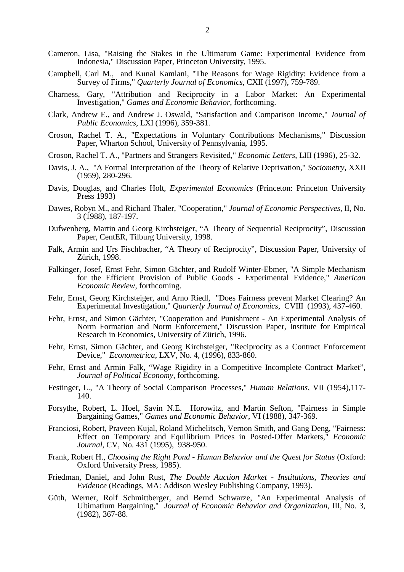- Cameron, Lisa, "Raising the Stakes in the Ultimatum Game: Experimental Evidence from Indonesia," Discussion Paper, Princeton University, 1995.
- Campbell, Carl M., and Kunal Kamlani, "The Reasons for Wage Rigidity: Evidence from a Survey of Firms," *Quarterly Journal of Economics*, CXII (1997), 759-789.
- Charness, Gary, "Attribution and Reciprocity in a Labor Market: An Experimental Investigation," *Games and Economic Behavior*, forthcoming.
- Clark, Andrew E., and Andrew J. Oswald, "Satisfaction and Comparison Income," *Journal of Public Economics*, LXI (1996), 359-381.
- Croson, Rachel T. A., "Expectations in Voluntary Contributions Mechanisms," Discussion Paper, Wharton School, University of Pennsylvania, 1995.
- Croson, Rachel T. A., "Partners and Strangers Revisited," *Economic Letters*, LIII (1996), 25-32.
- Davis, J. A., "A Formal Interpretation of the Theory of Relative Deprivation," *Sociometry*, XXII (1959), 280-296.
- Davis, Douglas, and Charles Holt, *Experimental Economics* (Princeton: Princeton University Press 1993)
- Dawes, Robyn M., and Richard Thaler, "Cooperation," *Journal of Economic Perspectives*, II, No. 3 (1988), 187-197.
- Dufwenberg, Martin and Georg Kirchsteiger, "A Theory of Sequential Reciprocity", Discussion Paper, CentER, Tilburg University, 1998.
- Falk, Armin and Urs Fischbacher, "A Theory of Reciprocity", Discussion Paper, University of Zürich, 1998.
- Falkinger, Josef, Ernst Fehr, Simon Gächter, and Rudolf Winter-Ebmer, "A Simple Mechanism for the Efficient Provision of Public Goods - Experimental Evidence," *American Economic Review*, forthcoming.
- Fehr, Ernst, Georg Kirchsteiger, and Arno Riedl, "Does Fairness prevent Market Clearing? An Experimental Investigation," *Quarterly Journal of Economics*, CVIII (1993), 437-460.
- Fehr, Ernst, and Simon Gächter, "Cooperation and Punishment An Experimental Analysis of Norm Formation and Norm Enforcement," Discussion Paper, Institute for Empirical Research in Economics, University of Zürich, 1996.
- Fehr, Ernst, Simon Gächter, and Georg Kirchsteiger, "Reciprocity as a Contract Enforcement Device," *Econometrica*, LXV, No. 4, (1996), 833-860.
- Fehr, Ernst and Armin Falk, "Wage Rigidity in a Competitive Incomplete Contract Market", *Journal of Political Economy*, forthcoming.
- Festinger, L., "A Theory of Social Comparison Processes," *Human Relations*, VII (1954),117- 140.
- Forsythe, Robert, L. Hoel, Savin N.E. Horowitz, and Martin Sefton, "Fairness in Simple Bargaining Games," *Games and Economic Behavior*, VI (1988), 347-369.
- Franciosi, Robert, Praveen Kujal, Roland Michelitsch, Vernon Smith, and Gang Deng, "Fairness: Effect on Temporary and Equilibrium Prices in Posted-Offer Markets," *Economic Journal*, CV, No. 431 (1995), 938-950.
- Frank, Robert H., *Choosing the Right Pond Human Behavior and the Quest for Status* (Oxford: Oxford University Press, 1985).
- Friedman, Daniel, and John Rust*, The Double Auction Market Institutions, Theories and Evidence* (Readings, MA: Addison Wesley Publishing Company, 1993).
- Güth, Werner, Rolf Schmittberger, and Bernd Schwarze, "An Experimental Analysis of Ultimatium Bargaining," *Journal of Economic Behavior and Organization*, III, No. 3, (1982), 367-88.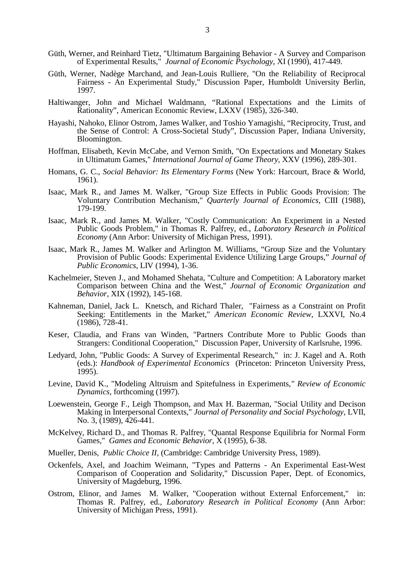- Güth, Werner, and Reinhard Tietz, "Ultimatum Bargaining Behavior A Survey and Comparison of Experimental Results," *Journal of Economic Psychology*, XI (1990), 417-449.
- Güth, Werner, Nadège Marchand, and Jean-Louis Rulliere, "On the Reliability of Reciprocal Fairness - An Experimental Study," Discussion Paper, Humboldt University Berlin, 1997.
- Haltiwanger, John and Michael Waldmann, "Rational Expectations and the Limits of Rationality", American Economic Review, LXXV (1985), 326-340.
- Hayashi, Nahoko, Elinor Ostrom, James Walker, and Toshio Yamagishi, "Reciprocity, Trust, and the Sense of Control: A Cross-Societal Study", Discussion Paper, Indiana University, Bloomington.
- Hoffman, Elisabeth, Kevin McCabe, and Vernon Smith, "On Expectations and Monetary Stakes in Ultimatum Games," *International Journal of Game Theory*, XXV (1996), 289-301.
- Homans, G. C., *Social Behavior: Its Elementary Forms* (New York: Harcourt, Brace & World, 1961).
- Isaac, Mark R., and James M. Walker, "Group Size Effects in Public Goods Provision: The Voluntary Contribution Mechanism," *Quarterly Journal of Economics*, CIII (1988), 179-199.
- Isaac, Mark R., and James M. Walker, "Costly Communication: An Experiment in a Nested Public Goods Problem," in Thomas R. Palfrey, ed., *Laboratory Research in Political Economy* (Ann Arbor: University of Michigan Press, 1991).
- Isaac, Mark R., James M. Walker and Arlington M. Williams, "Group Size and the Voluntary Provision of Public Goods: Experimental Evidence Utilizing Large Groups," *Journal of Public Economics*, LIV (1994), 1-36.
- Kachelmeier, Steven J., and Mohamed Shehata, "Culture and Competition: A Laboratory market Comparison between China and the West," *Journal of Economic Organization and Behavior*, XIX (1992), 145-168.
- Kahneman, Daniel, Jack L. Knetsch, and Richard Thaler, "Fairness as a Constraint on Profit Seeking: Entitlements in the Market," *American Economic Review*, LXXVI, No.4 (1986), 728-41.
- Keser, Claudia, and Frans van Winden, "Partners Contribute More to Public Goods than Strangers: Conditional Cooperation," Discussion Paper, University of Karlsruhe, 1996.
- Ledyard, John, "Public Goods: A Survey of Experimental Research," in: J. Kagel and A. Roth (eds.): *Handbook of Experimental Economics* (Princeton: Princeton University Press, 1995).
- Levine, David K., "Modeling Altruism and Spitefulness in Experiments*," Review of Economic Dynamics*, forthcoming (1997).
- Loewenstein, George F., Leigh Thompson, and Max H. Bazerman, "Social Utility and Decison Making in Interpersonal Contexts," *Journal of Personality and Social Psychology*, LVII, No. 3,  $(1989)$ ,  $\overline{426}$ -441.
- McKelvey, Richard D., and Thomas R. Palfrey, "Quantal Response Equilibria for Normal Form Games," *Games and Economic Behavior*, X (1995), 6-38.
- Mueller, Denis, *Public Choice II*, (Cambridge: Cambridge University Press, 1989).
- Ockenfels, Axel, and Joachim Weimann, "Types and Patterns An Experimental East-West Comparison of Cooperation and Solidarity," Discussion Paper, Dept. of Economics, University of Magdeburg, 1996.
- Ostrom, Elinor, and James M. Walker, "Cooperation without External Enforcement," in: Thomas R. Palfrey, ed., *Laboratory Research in Political Economy* (Ann Arbor: University of Michigan Press, 1991).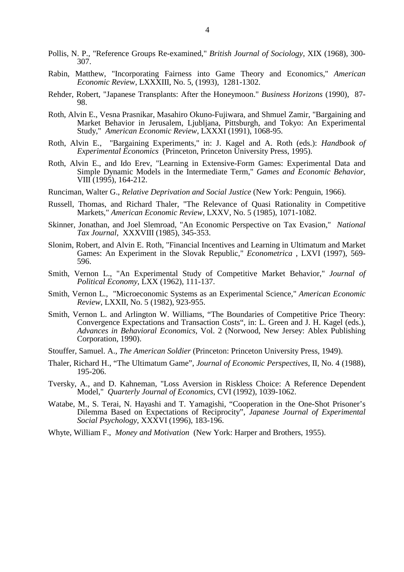- Pollis, N. P., "Reference Groups Re-examined," *British Journal of Sociology*, XIX (1968), 300- 307.
- Rabin, Matthew, "Incorporating Fairness into Game Theory and Economics," *American Economic Review*, LXXXIII, No. 5, (1993), 1281-1302.
- Rehder, Robert, "Japanese Transplants: After the Honeymoon." *Business Horizons* (1990), 87- 98.
- Roth, Alvin E., Vesna Prasnikar, Masahiro Okuno-Fujiwara, and Shmuel Zamir, "Bargaining and Market Behavior in Jerusalem, Ljubljana, Pittsburgh, and Tokyo: An Experimental Study," *American Economic Review*, LXXXI (1991), 1068-95.
- Roth, Alvin E., "Bargaining Experiments," in: J. Kagel and A. Roth (eds.): *Handbook of Experimental Economics* (Princeton, Princeton University Press, 1995).
- Roth, Alvin E., and Ido Erev, "Learning in Extensive-Form Games: Experimental Data and Simple Dynamic Models in the Intermediate Term," *Games and Economic Behavior*, VIII (1995), 164-212.
- Runciman, Walter G., *Relative Deprivation and Social Justice* (New York: Penguin, 1966).
- Russell, Thomas, and Richard Thaler, "The Relevance of Quasi Rationality in Competitive Markets," *American Economic Review*, LXXV, No. 5 (1985), 1071-1082.
- Skinner, Jonathan, and Joel Slemroad, "An Economic Perspective on Tax Evasion," *National Tax Journal*, XXXVIII (1985), 345-353.
- Slonim, Robert, and Alvin E. Roth, "Financial Incentives and Learning in Ultimatum and Market Games: An Experiment in the Slovak Republic," *Econometrica* , LXVI (1997), 569- 596.
- Smith, Vernon L., "An Experimental Study of Competitive Market Behavior," *Journal of Political Economy*, LXX (1962), 111-137.
- Smith, Vernon L., "Microeconomic Systems as an Experimental Science," *American Economic Review*, LXXII, No. 5 (1982), 923-955.
- Smith, Vernon L. and Arlington W. Williams, "The Boundaries of Competitive Price Theory: Convergence Expectations and Transaction Costs", in: L. Green and J. H. Kagel (eds.), *Advances in Behavioral Economics*, Vol. 2 (Norwood, New Jersey: Ablex Publishing Corporation, 1990).
- Stouffer, Samuel. A., *The American Soldier* (Princeton: Princeton University Press, 1949).
- Thaler, Richard H., "The Ultimatum Game", *Journal of Economic Perspectives*, II, No. 4 (1988), 195-206.
- Tversky, A., and D. Kahneman, "Loss Aversion in Riskless Choice: A Reference Dependent Model," *Quarterly Journal of Economics*, CVI (1992), 1039-1062.
- Watabe, M., S. Terai, N. Hayashi and T. Yamagishi, "Cooperation in the One-Shot Prisoner's Dilemma Based on Expectations of Reciprocity", *Japanese Journal of Experimental Social Psychology*, XXXVI (1996), 183-196.
- Whyte, William F., *Money and Motivation* (New York: Harper and Brothers, 1955).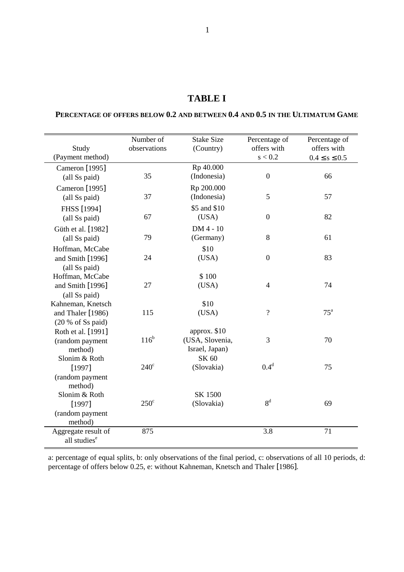| Study                    | Number of<br>observations | <b>Stake Size</b><br>(Country) | Percentage of<br>offers with | Percentage of<br>offers with |
|--------------------------|---------------------------|--------------------------------|------------------------------|------------------------------|
| (Payment method)         |                           |                                | s < 0.2                      | $0.4 \le s \le 0.5$          |
|                          |                           | Rp 40.000                      |                              |                              |
| Cameron [1995]           | 35                        | (Indonesia)                    | $\mathbf{0}$                 | 66                           |
| (all Ss paid)            |                           |                                |                              |                              |
| Cameron [1995]           |                           | Rp 200.000                     |                              |                              |
| (all Ss paid)            | 37                        | (Indonesia)                    | 5                            | 57                           |
| FHSS [1994]              |                           | \$5 and \$10                   |                              |                              |
| (all Ss paid)            | 67                        | (USA)                          | $\boldsymbol{0}$             | 82                           |
| Güth et al. [1982]       |                           | $DM4 - 10$                     |                              |                              |
| (all Ss paid)            | 79                        | (Germany)                      | 8                            | 61                           |
| Hoffman, McCabe          |                           | \$10                           |                              |                              |
| and Smith [1996]         | 24                        | (USA)                          | $\mathbf{0}$                 | 83                           |
| (all Ss paid)            |                           |                                |                              |                              |
| Hoffman, McCabe          |                           | \$100                          |                              |                              |
| and Smith [1996]         | 27                        | (USA)                          | $\overline{4}$               | 74                           |
| (all Ss paid)            |                           |                                |                              |                              |
| Kahneman, Knetsch        |                           | \$10                           |                              |                              |
| and Thaler [1986)        | 115                       | (USA)                          | $\overline{?}$               | $75^{\mathrm{a}}$            |
| (20 % of Ss paid)        |                           |                                |                              |                              |
| Roth et al. [1991]       |                           | approx. \$10                   |                              |                              |
| (random payment          | 116 <sup>b</sup>          | (USA, Slovenia,                | 3                            | 70                           |
| method)                  |                           | Israel, Japan)                 |                              |                              |
| Slonim & Roth            |                           | SK 60                          |                              |                              |
| [1997]                   | $240^\circ$               | (Slovakia)                     | 0.4 <sup>d</sup>             | 75                           |
| (random payment          |                           |                                |                              |                              |
| method)                  |                           |                                |                              |                              |
| Slonim & Roth            |                           | SK 1500                        |                              |                              |
| [1997]                   | $250^{\circ}$             | (Slovakia)                     | 8 <sup>d</sup>               | 69                           |
| (random payment          |                           |                                |                              |                              |
| method)                  |                           |                                |                              |                              |
| Aggregate result of      | 875                       |                                | 3.8                          | 71                           |
| all studies <sup>e</sup> |                           |                                |                              |                              |

# **TABLE I**

#### **PERCENTAGE OF OFFERS BELOW 0.2 AND BETWEEN 0.4 AND 0.5 IN THE ULTIMATUM GAME**

a: percentage of equal splits, b: only observations of the final period, c: observations of all 10 periods, d: percentage of offers below 0.25, e: without Kahneman, Knetsch and Thaler [1986].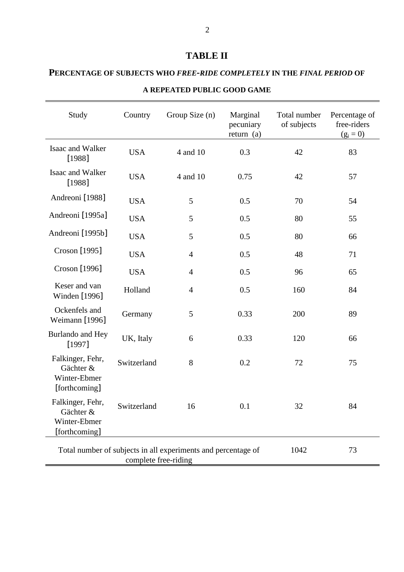# **TABLE II**

# **PERCENTAGE OF SUBJECTS WHO** *FREE-RIDE COMPLETELY* **IN THE** *FINAL PERIOD* **OF**

| Study                                                             | Country     | Group Size (n) | Marginal<br>pecuniary<br>return $(a)$ | Total number<br>of subjects | Percentage of<br>free-riders<br>$(g_i = 0)$ |
|-------------------------------------------------------------------|-------------|----------------|---------------------------------------|-----------------------------|---------------------------------------------|
| Isaac and Walker<br>[1988]                                        | <b>USA</b>  | 4 and 10       | 0.3                                   | 42                          | 83                                          |
| Isaac and Walker<br>[1988]                                        | <b>USA</b>  | 4 and 10       | 0.75                                  | 42                          | 57                                          |
| Andreoni [1988]                                                   | <b>USA</b>  | $\mathfrak{S}$ | 0.5                                   | 70                          | 54                                          |
| Andreoni [1995a]                                                  | <b>USA</b>  | $\mathfrak{S}$ | 0.5                                   | 80                          | 55                                          |
| Andreoni [1995b]                                                  | <b>USA</b>  | $\mathfrak{S}$ | 0.5                                   | 80                          | 66                                          |
| Croson [1995]                                                     | <b>USA</b>  | $\overline{4}$ | 0.5                                   | 48                          | 71                                          |
| Croson [1996]                                                     | <b>USA</b>  | $\overline{4}$ | 0.5                                   | 96                          | 65                                          |
| Keser and van<br>Winden [1996]                                    | Holland     | $\overline{4}$ | 0.5                                   | 160                         | 84                                          |
| Ockenfels and<br>Weimann [1996]                                   | Germany     | $\mathfrak s$  | 0.33                                  | 200                         | 89                                          |
| Burlando and Hey<br>[1997]                                        | UK, Italy   | 6              | 0.33                                  | 120                         | 66                                          |
| Falkinger, Fehr,<br>Gächter &<br>Winter-Ebmer<br>[forthcoming]    | Switzerland | $8\,$          | 0.2                                   | 72                          | 75                                          |
| Falkinger, Fehr,<br>Gächter $\&$<br>Winter-Ebmer<br>[forthcoming] | Switzerland | 16             | 0.1                                   | 32                          | 84                                          |
| Total number of subjects in all experiments and percentage of     | 1042        | 73             |                                       |                             |                                             |

#### **A REPEATED PUBLIC GOOD GAME**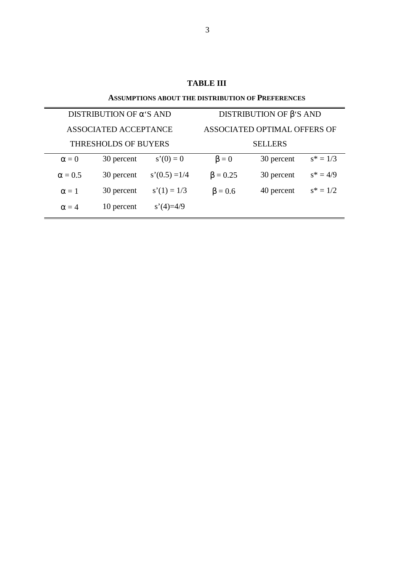| <b>ASSUMPTIONS ABOUT THE DISTRIBUTION OF PREFERENCES</b> |            |                 |                              |            |             |  |  |  |  |
|----------------------------------------------------------|------------|-----------------|------------------------------|------------|-------------|--|--|--|--|
| DISTRIBUTION OF $\alpha$ 'S AND                          |            |                 | DISTRIBUTION OF β'S AND      |            |             |  |  |  |  |
| ASSOCIATED ACCEPTANCE                                    |            |                 | ASSOCIATED OPTIMAL OFFERS OF |            |             |  |  |  |  |
| <b>THRESHOLDS OF BUYERS</b>                              |            | <b>SELLERS</b>  |                              |            |             |  |  |  |  |
| $\alpha = 0$                                             | 30 percent | $s'(0) = 0$     | $\beta = 0$                  | 30 percent | $s^* = 1/3$ |  |  |  |  |
| $\alpha = 0.5$                                           | 30 percent | $s'(0.5) = 1/4$ | $\beta = 0.25$               | 30 percent | $s^* = 4/9$ |  |  |  |  |
| $\alpha = 1$                                             | 30 percent | $s'(1) = 1/3$   | $\beta = 0.6$                | 40 percent | $s^* = 1/2$ |  |  |  |  |
| $\alpha = 4$                                             | 10 percent | $s'(4)=4/9$     |                              |            |             |  |  |  |  |

## **TABLE III**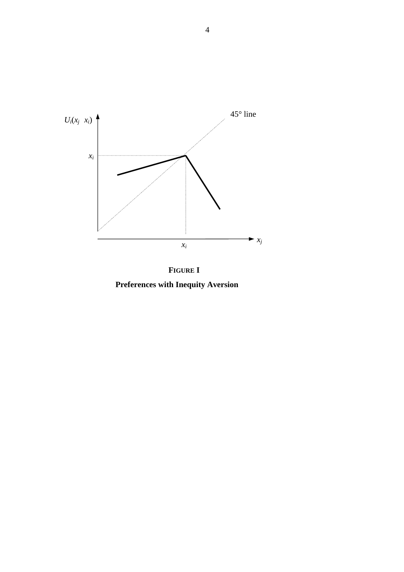

**FIGURE I Preferences with Inequity Aversion**